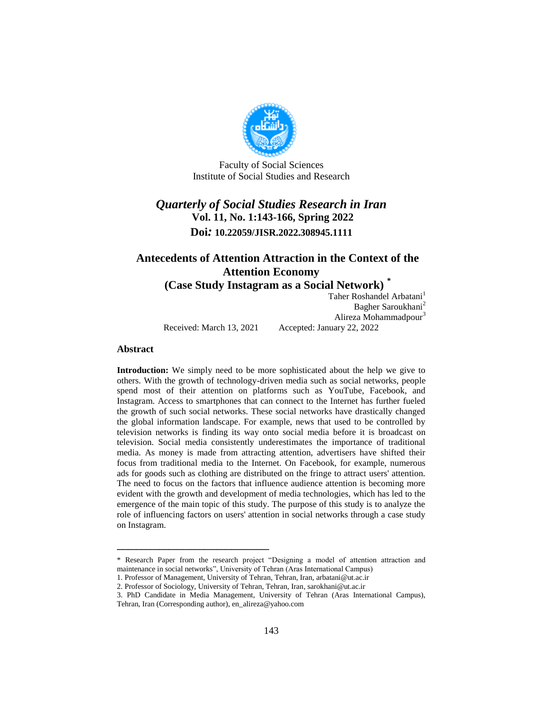

Faculty of Social Sciences Institute of Social Studies and Research

# *Quarterly of Social Studies Research in Iran* **Vol. 11, No. 1:143-166, Spring 2022 Doi***:* **10.22059/JISR.2022.308945.1111**

### **Antecedents of Attention Attraction in the Context of the Attention Economy (Case Study Instagram as a Social Network) \***

Taher Roshandel Arbatani<sup>1</sup> Bagher Saroukhani<sup>2</sup> Alireza Mohammadpour<sup>3</sup> Received: March 13, 2021 Accepted: January 22, 2022

#### **Abstract**

**Introduction:** We simply need to be more sophisticated about the help we give to others. With the growth of technology-driven media such as social networks, people spend most of their attention on platforms such as YouTube, Facebook, and Instagram. Access to smartphones that can connect to the Internet has further fueled the growth of such social networks. These social networks have drastically changed the global information landscape. For example, news that used to be controlled by television networks is finding its way onto social media before it is broadcast on television. Social media consistently underestimates the importance of traditional media. As money is made from attracting attention, advertisers have shifted their focus from traditional media to the Internet. On Facebook, for example, numerous ads for goods such as clothing are distributed on the fringe to attract users' attention. The need to focus on the factors that influence audience attention is becoming more evident with the growth and development of media technologies, which has led to the emergence of the main topic of this study. The purpose of this study is to analyze the role of influencing factors on users' attention in social networks through a case study on Instagram.

<sup>\*</sup> Research Paper from the research project "Designing a model of attention attraction and maintenance in social networks", University of Tehran (Aras International Campus)

<sup>1.</sup> Professor of Management, University of Tehran, Tehran, Iran, arbatani@ut.ac.ir

<sup>2.</sup> Professor of Sociology, University of Tehran, Tehran, Iran, sarokhani@ut.ac.ir

<sup>3.</sup> PhD Candidate in Media Management, University of Tehran (Aras International Campus),

Tehran, Iran (Corresponding author), en\_alireza@yahoo.com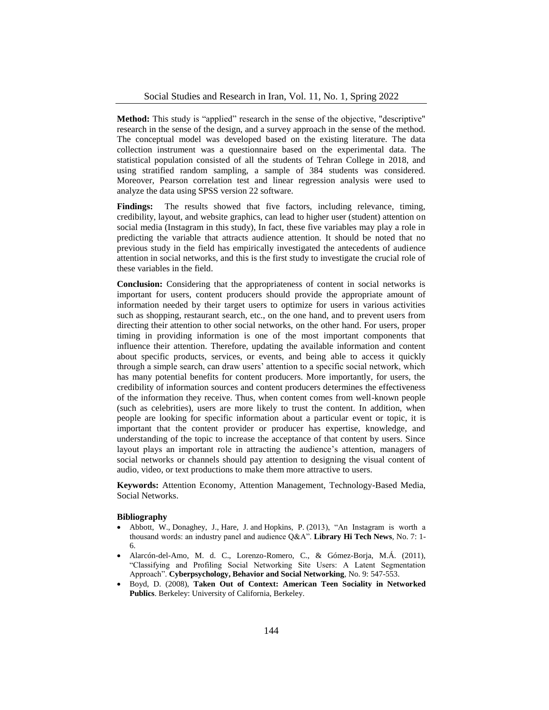**Method:** This study is "applied" research in the sense of the objective, "descriptive" research in the sense of the design, and a survey approach in the sense of the method. The conceptual model was developed based on the existing literature. The data collection instrument was a questionnaire based on the experimental data. The statistical population consisted of all the students of Tehran College in 2018, and using stratified random sampling, a sample of 384 students was considered. Moreover, Pearson correlation test and linear regression analysis were used to analyze the data using SPSS version 22 software.

Findings: The results showed that five factors, including relevance, timing, credibility, layout, and website graphics, can lead to higher user (student) attention on social media (Instagram in this study), In fact, these five variables may play a role in predicting the variable that attracts audience attention. It should be noted that no previous study in the field has empirically investigated the antecedents of audience attention in social networks, and this is the first study to investigate the crucial role of these variables in the field.

**Conclusion:** Considering that the appropriateness of content in social networks is important for users, content producers should provide the appropriate amount of information needed by their target users to optimize for users in various activities such as shopping, restaurant search, etc., on the one hand, and to prevent users from directing their attention to other social networks, on the other hand. For users, proper timing in providing information is one of the most important components that influence their attention. Therefore, updating the available information and content about specific products, services, or events, and being able to access it quickly through a simple search, can draw users' attention to a specific social network, which has many potential benefits for content producers. More importantly, for users, the credibility of information sources and content producers determines the effectiveness of the information they receive. Thus, when content comes from well-known people (such as celebrities), users are more likely to trust the content. In addition, when people are looking for specific information about a particular event or topic, it is important that the content provider or producer has expertise, knowledge, and understanding of the topic to increase the acceptance of that content by users. Since layout plays an important role in attracting the audience's attention, managers of social networks or channels should pay attention to designing the visual content of audio, video, or text productions to make them more attractive to users.

**Keywords:** Attention Economy, Attention Management, Technology-Based Media, Social Networks.

#### **Bibliography**

- Abbott, W., Donaghey, J., Hare, J. and Hopkins, P. (2013), "An Instagram is worth a thousand words: an industry panel and audience Q&A". **Library Hi Tech News**, No. 7: 1- 6.
- Alarcón-del-Amo, M. d. C., Lorenzo-Romero, C., & Gómez-Borja, M.Á. (2011), "Classifying and Profiling Social Networking Site Users: A Latent Segmentation Approach". **Cyberpsychology, Behavior and Social Networking**, No. 9: 547-553.
- Boyd, D. (2008), **Taken Out of Context: American Teen Sociality in Networked Publics**. Berkeley: University of California, Berkeley.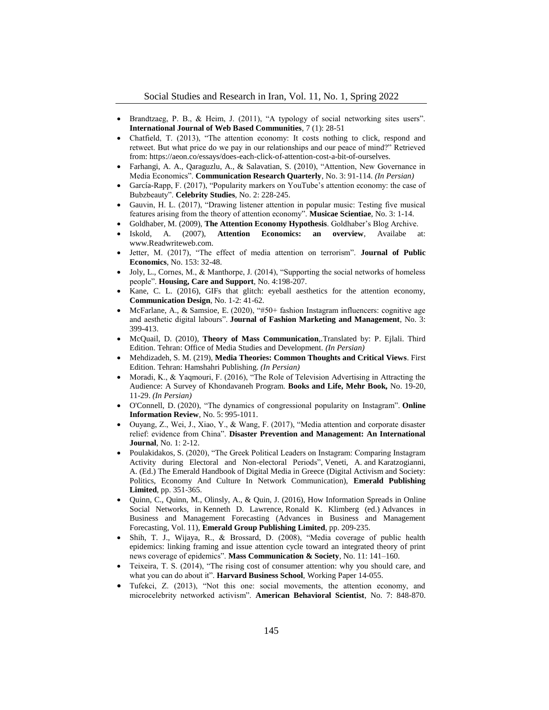- Brandtzaeg, P. B., & Heim, J. (2011), "A typology of social networking sites users". **International Journal of Web Based Communities**, 7 (1): 28-51
- Chatfield, T. (2013), "The attention economy: It costs nothing to click, respond and retweet. But what price do we pay in our relationships and our peace of mind?" Retrieved from: https://aeon.co/essays/does-each-click-of-attention-cost-a-bit-of-ourselves.
- Farhangi, A. A., Qaraguzlu, A., & Salavatian, S. (2010), "Attention, New Governance in Media Economics". **Communication Research Quarterly**, No. 3: 91-114. *(In Persian)*
- García-Rapp, F. (2017), "Popularity markers on YouTube's attention economy: the case of Bubzbeauty". **Celebrity Studies**, No. 2: 228-245.
- Gauvin, H. L. (2017), "Drawing listener attention in popular music: Testing five musical features arising from the theory of attention economy". **Musicae Scientiae**, No. 3: 1-14.
- Goldhaber, M. (2009), **The Attention Economy Hypothesis**. Goldhaber's Blog Archive.
- Iskold, A. (2007), **Attention Economics: an overview**, Availabe at: www.Readwriteweb.com.
- Jetter, M. (2017), "The effect of media attention on terrorism". **Journal of Public Economics**, No. 153: 32-48.
- Joly, L., Cornes, M., & Manthorpe, J. (2014), "Supporting the social networks of homeless people". **Housing, Care and Support**, No. 4:198-207.
- Kane, C. L. (2016), GIFs that glitch: eyeball aesthetics for the attention economy, **Communication Design**, No. 1-2: 41-62.
- McFarlane, A., & Samsioe, E. (2020), "#50+ fashion Instagram influencers: cognitive age and aesthetic digital labours". **Journal of Fashion Marketing and Management**, No. 3: 399-413.
- McQuail, D. (2010), **Theory of Mass Communication**,.Translated by: P. Ejlali. Third Edition. Tehran: Office of Media Studies and Development. *(In Persian)*
- Mehdizadeh, S. M. (219), **Media Theories: Common Thoughts and Critical Views**. First Edition. Tehran: Hamshahri Publishing. *(In Persian)*
- Moradi, K., & Yaqmouri, F. (2016), "The Role of Television Advertising in Attracting the Audience: A Survey of Khondavaneh Program. **Books and Life, Mehr Book,** No. 19-20, 11-29. *(In Persian)*
- O'Connell, D. (2020), "The dynamics of congressional popularity on Instagram". **Online Information Review**, No. 5: 995-1011.
- Ouyang, Z., Wei, J., Xiao, Y., & Wang, F. (2017), "Media attention and corporate disaster relief: evidence from China". **Disaster Prevention and Management: An International Journal**, No. 1: 2-12.
- Poulakidakos, S. (2020), "The Greek Political Leaders on Instagram: Comparing Instagram Activity during Electoral and Non-electoral Periods", Veneti, A. and Karatzogianni, A. (Ed.) The Emerald Handbook of Digital Media in Greece (Digital Activism and Society: Politics, Economy And Culture In Network Communication), **Emerald Publishing Limited**, pp. 351-365.
- Quinn, C., Quinn, M., Olinsly, A., & Quin, J. (2016), How Information Spreads in Online Social Networks, in Kenneth D. Lawrence, Ronald K. Klimberg (ed.) Advances in Business and Management Forecasting (Advances in Business and Management Forecasting, Vol. 11), **Emerald Group Publishing Limited**, pp. 209-235.
- Shih, T. J., Wijaya, R., & Brossard, D. (2008), "Media coverage of public health epidemics: linking framing and issue attention cycle toward an integrated theory of print news coverage of epidemics". **Mass Communication & Society**, No. 11: 141–160.
- Teixeira, T. S. (2014), "The rising cost of consumer attention: why you should care, and what you can do about it". **Harvard Business School**, Working Paper 14-055.
- Tufekci, Z. (2013), "Not this one: social movements, the attention economy, and microcelebrity networked activism". **American Behavioral Scientist**, No. 7: 848-870.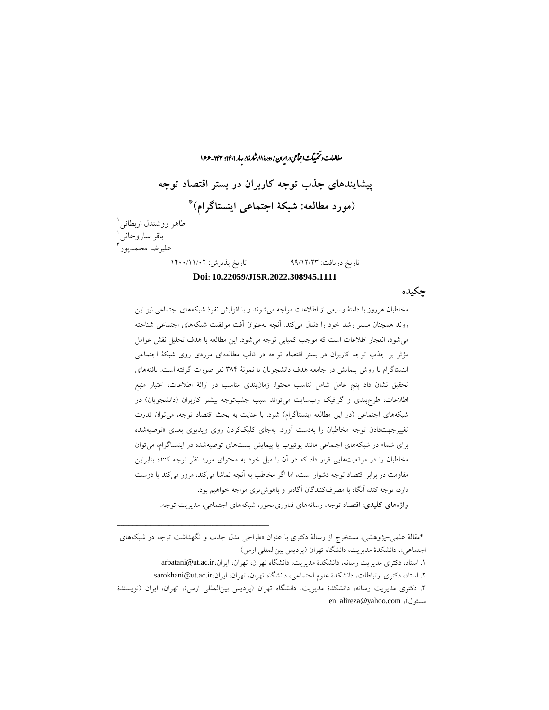رامات و تحقیقات احتماعی در ایران / دورهٔ ۸۱، شارهٔ ۱، سار ۱۴۶۱ - ۱۴۴ - ۱۶۶ ما ب ش **پیشایندهای جذب توجه کاربران در بستر اقتصاد توجه \* )مورد مطالعه: شبکۀ اجتماعی اینستاگرام(** 1 طاهر روشندل اربطانی باقر ساروخانی<sup>1</sup><br>" 3 علیرضا محمدپور تاریخ دریافت: 99/12/23 تاریخ پذیرش: 1400/11/02

#### **Doi: 10.22059/JISR.2022.308945.1111**

**چکیده**

مخاطبان هرروز با دامنۀ وسیعی از اطالعات مواجه میشوند و با افزایش نفوذ شبکههای اجتماعی نیز این روند همچنان مسیر رشد خود را دنبال میکند. آنچه بهعنوان آفت موفقیت شبکههای اجتماعی شناخته میشود، انفجار اطالعات است که موجب کمیابی توجه میشود. این مطالعه با هدف تحلیل نقش عوامل مؤثر بر جذب توجه کاربران در بستر اقتصاد توجه در قالب مطالعهای موردی روی شبکۀ اجتماعی اینستاگرام با روش پیمایش در جامعه هدف دانشجویان با نمونۀ 384 نفر صورت گرفته است. یافتههای تحقیق نشان داد پنج عامل شامل تناسب محتوا، زمانبندی مناسب در ارائۀ اطالعات، اعتبار منبع اطلاعات، طرحبندی و گرافیک وبسایت میتواند سبب جلبتوجه بیشتر کاربران (دانشجویان) در شبکههای اجتماعی (در این مطالعه اینستاگرام) شود. با عنایت به بحث اقتصاد توجه، میتوان قدرت تغییرجهتدادن توجه مخاطبان را بهدست آورد. بهجای کلیککردن روی ویدیوی بعدی »توصیهشده برای شما» در شبکههای اجتماعی مانند یوتیوب یا پیمایش پستهای توصیهشده در اینستاگرام، می توان مخاطبان را در موقعیتهایی قرار داد که در آن با میل خود به محتوای مورد نظر توجه کنند؛ بنابراین مقاومت در برابر اقتصاد توجه دشوار است، اما اگر مخاطب به آنچه تماشا میکند، مرور میکند یا دوست دارد، توجه کند، آنگاه با مصرفکنندگان آگاهتر و باهوشتری مواجه خواهیم بود.

**واژههای کلیدی**: اقتصاد توجه، رسانههای فناوریمحور، شبکههای اجتماعی، مدیریت توجه.

- .1 استاد، دکتری مدیریت رسانه، دانشکدۀ مدیریت، دانشگاه تهران، تهران، ایران،ir.ac.ut@arbatani
- ۲. استاد، دکتری ارتباطات، دانشکدۀ علوم اجتماعی، دانشگاه تهران، تهران، ایران،ir.ac.ut.ac.ir

<sup>\*</sup>مقالۀ علمی-پژوهشی، مستخرج از رسالۀ دکتری با عنوان »طراحی مدل جذب و نگهداشت توجه در شبکههای اجتماعی»، دانشکدۀ مدیریت، دانشگاه تهران (پردیس بینالمللی ارس)

<sup>.3</sup> دکتری مدیریت رسانه، دانشکدۀ مدیریت، دانشگاه تهران )پردیس بینالمللی ارس(، تهران، ایران )نویسندۀ en\_alireza@yahoo.com ،)مسئول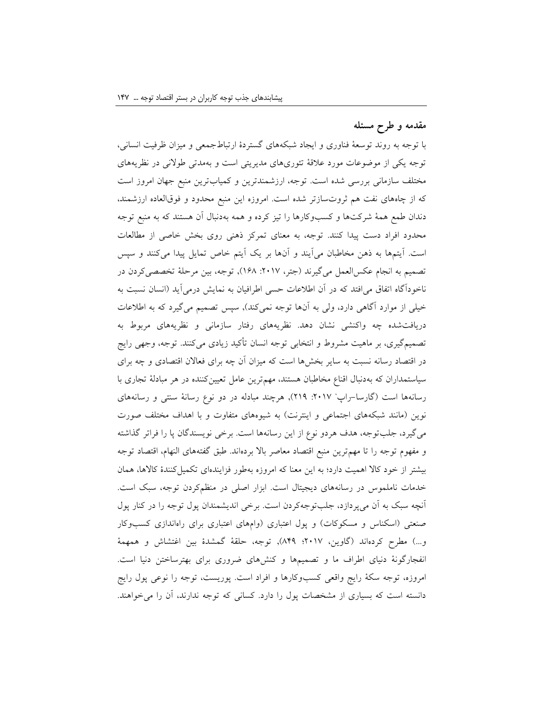#### **مقدمه و طرح مسئله**

با توجه به روند توسعۀ فناوری و ایجاد شبکههای گستردۀ ارتباطجمعی و میزان ظرفیت انسانی، توجه یکی از موضوعات مورد عالقۀ تئوریهای مدیریتی است و بهمدتی طوالنی در نظریههای مختلف سازمانی بررسی شده است. توجه، ارزشمندترین و کمیابترین منبع جهان امروز است که از چاههای نفت هم ثروتسازتر شده است. امروزه این منبع محدود و فوقالعاده ارزشمند، دندان طمع همۀ شرکتها و کسبوکارها را تیز کرده و همه بهدنبال آن هستند که به منبع توجه محدود افراد دست پیدا کنند. توجه، به معنای تمرکز ذهنی روی بخش خاصی از مطالعات است. آیتمها به ذهن مخاطبان میآیند و آنها بر یک آیتم خاص تمایل پیدا میکنند و سپس تصمیم به انجام عکسالعمل میگیرند )جتر، :2017 168(, توجه، بین مرحلۀ تخصصیکردن در ناخودآگاه اتفاق می|فتد که در آن اطلاعات حسی اطرافیان به نمایش درمیآید (انسان نسبت به خیلی از موارد آگاهی دارد، ولی به آنها توجه نمی کند), سپس تصمیم میگیرد که به اطلاعات دریافتشده چه واکنشی نشان دهد. نظریههای رفتار سازمانی و نظریههای مربوط به تصمیمگیری، بر ماهیت مشروط و انتخابی توجه انسان تأکید زیادی میکنند. توجه، وجهی رایج در اقتصاد رسانه نسبت به سایر بخشها است که میزان آن چه برای فعاالن اقتصادی و چه برای سیاستمداران که بهدنبال اقناع مخاطبان هستند، مهمترین عامل تعیینکننده در هر مبادلۀ تجاری با رسانهها است (گارسا–راپ<sup>،</sup> ۲۰۱۷: ۲۱۹), هرچند مبادله در دو نوع رسانۀ سنتی و رسانههای نوین (مانند شبکههای اجتماعی و اینترنت) به شیوههای متفاوت و با اهداف مختلف صورت میگیرد، جلبتوجه، هدف هردو نوع از این رسانهها است. برخی نویسندگان پا را فراتر گذاشته و مفهوم توجه را تا مهمترین منبع اقتصاد معاصر باال بردهاند. طبق گفتههای النهام، اقتصاد توجه بیشتر از خود کاال اهمیت دارد؛ به این معنا که امروزه بهطور فزایندهای تکمیلکنندۀ کاالها، همان خدمات ناملموس در رسانههای دیجیتال است. ابزار اصلی در منظمکردن توجه، سبک است. آنچه سبک به آن میپردازد، جلبتوجهکردن است. برخی اندیشمندان پول توجه را در کنار پول صنعتی (اسکناس و مسکوکات) و پول اعتباری (وامهای اعتباری برای راهاندازی کسبوکار و...( مطرح کردهاند )گاوین، 2017؛ 849(, توجه، حلقۀ گمشدۀ بین اغتشاش و همهمۀ انفجارگونۀ دنیای اطراف ما و تصمیمها و کنشهای ضروری برای بهترساختن دنیا است. امروزه، توجه سکۀ رایج واقعی کسبوکارها و افراد است. پوریست، توجه را نوعی پول رایج دانسته است که بسیاری از مشخصات پول را دارد. کسانی که توجه ندارند، آن را میخواهند.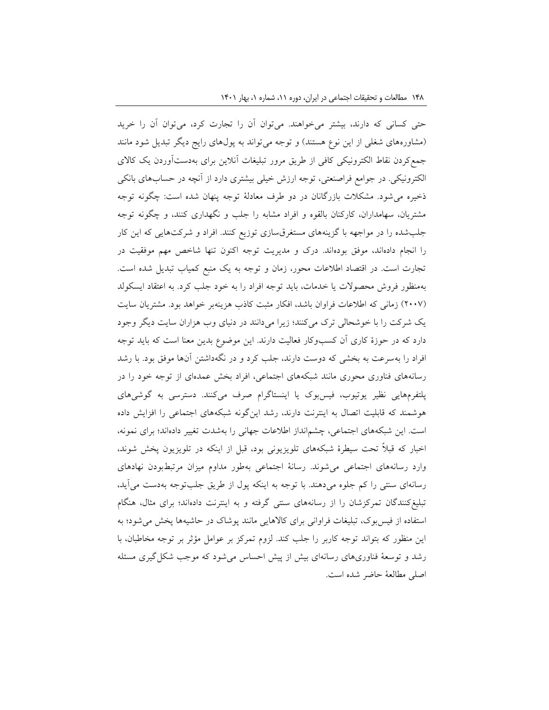حتی کسانی که دارند، بیشتر میخواهند. میتوان آن را تجارت کرد، میتوان آن را خرید (مشاورههای شغلی از این نوع هستند) و توجه میتواند به پولهای رایج دیگر تبدیل شود مانند جمعکردن نقاط الکترونیکی کافی از طریق مرور تبلیغات آنالین برای بهدستآوردن یک کاالی الکترونیکی. در جوامع فراصنعتی، توجه ارزش خیلی بیشتری دارد از آنچه در حسابهای بانکی ذخیره میشود. مشکالت بازرگانان در دو طرف معادلۀ توجه پنهان شده است: چگونه توجه مشتریان، سهامداران، کارکنان بالقوه و افراد مشابه را جلب و نگهداری کنند، و چگونه توجه جلبشده را در مواجهه با گزینههای مستغرقسازی توزیع کنند. افراد و شرکتهایی که این کار را انجام دادهاند، موفق بودهاند. درک و مدیریت توجه اکنون تنها شاخص مهم موفقیت در تجارت است. در اقتصاد اطالعات محور، زمان و توجه به یک منبع کمیاب تبدیل شده است. بهمنظور فروش محصوالت یا خدمات، باید توجه افراد را به خود جلب کرد. به اعتقاد ایسکولد )2007( زمانی که اطالعات فراوان باشد، افکار مثبت کاذب هزینهبر خواهد بود. مشتریان سایت یک شرکت را با خوشحالی ترک میکنند؛ زیرا میدانند در دنیای وب هزاران سایت دیگر وجود دارد که در حوزۀ کاری آن کسبوکار فعالیت دارند. این موضوع بدین معنا است که باید توجه افراد را بهسرعت به بخشی که دوست دارند، جلب کرد و در نگهداشتن آنها موفق بود. با رشد رسانههای فناوری محوری مانند شبکههای اجتماعی، افراد بخش عمدهای از توجه خود را در پلتفرمهایی نظیر یوتیوب، فیسبوک یا اینستاگرام صرف میکنند. دسترسی به گوشیهای هوشمند که قابلیت اتصال به اینترنت دارند، رشد اینگونه شبکههای اجتماعی را افزایش داده است. این شبکههای اجتماعی، چشمانداز اطالعات جهانی را بهشدت تغییر دادهاند؛ برای نمونه، اخبار که قبالً تحت سیطرۀ شبکههای تلویزیونی بود، قبل از اینکه در تلویزیون پخش شوند، وارد رسانههای اجتماعی میشوند. رسانۀ اجتماعی بهطور مداوم میزان مرتبطبودن نهادهای رسانهای سنتی را کم جلوه میدهند. با توجه به اینکه پول از طریق جلبتوجه بهدست میآید، تبلیغکنندگان تمرکزشان را از رسانههای سنتی گرفته و به اینترنت دادهاند؛ برای مثال، هنگام استفاده از فیسبوک، تبلیغات فراوانی برای کاالهایی مانند پوشاک در حاشیهها پخش میشود؛ به این منظور که بتواند توجه کاربر را جلب کند. لزوم تمرکز بر عوامل مؤثر بر توجه مخاطبان، با رشد و توسعۀ فناوریهای رسانهای بیش از پیش احساس میشود که موجب شکلگیری مسئله اصلی مطالعۀ حاضر شده است.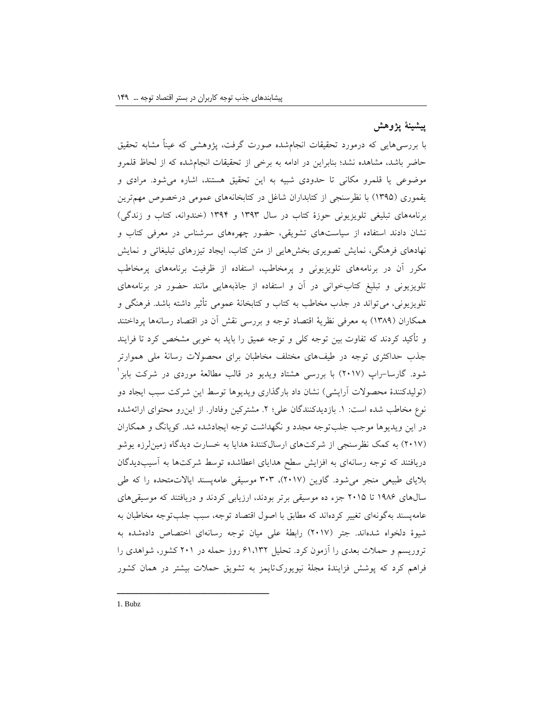## **پیشینۀ پژوهش**

با بررسیهایی که درمورد تحقیقات انجامشده صورت گرفت، پژوهشی که عیناً مشابه تحقیق حاضر باشد، مشاهده نشد؛ بنابراین در ادامه به برخی از تحقیقات انجامشده که از لحاظ قلمرو موضوعی یا قلمرو مکانی تا حدودی شبیه به این تحقیق هستند، اشاره میشود. مرادی و یقموری )1395( با نظرسنجی از کتابداران شاغل در کتابخانههای عمومی درخصوص مهمترین برنامههای تبلیغی تلویزیونی حوزۀ کتاب در سال 1393 و 1394 )خندوانه، کتاب و زندگی( نشان دادند استفاده از سیاستهای تشویقی، حضور چهرههای سرشناس در معرفی کتاب و نهادهای فرهنگی، نمایش تصویری بخشهایی از متن کتاب، ایجاد تیزرهای تبلیغاتی و نمایش مکرر آن در برنامههای تلویزیونی و پرمخاطب، استفاده از ظرفیت برنامههای پرمخاطب تلویزیونی و تبلیغ کتابخوانی در آن و استفاده از جاذبههایی مانند حضور در برنامههای تلویزیونی، میتواند در جذب مخاطب به کتاب و کتابخانۀ عمومی تأثیر داشته باشد. فرهنگی و همکاران )1389( به معرفی نظریۀ اقتصاد توجه و بررسی نقش آن در اقتصاد رسانهها پرداختند و تأکید کردند که تفاوت بین توجه کلی و توجه عمیق را باید به خوبی مشخص کرد تا فرایند جذب حداکثری توجه در طیفهای مختلف مخاطبان برای محصوالت رسانۀ ملی هموارتر 1 شود. گارسا-راپ )2017( با بررسی هشتاد ویدیو در قالب مطالعۀ موردی در شرکت بابز )تولیدکنندۀ محصوالت آرایشی( نشان داد بارگذاری ویدیوها توسط این شرکت سبب ایجاد دو نوع مخاطب شده است: ١. بازدیدکنندگان علی؛ ٢. مشترکین وفادار. از این رو محتوای ارائهشده در این ویدیوها موجب جلبتوجه مجدد و نگهداشت توجه ایجادشده شد. کویانگ و همکاران )2017( به کمک نظرسنجی از شرکتهای ارسالکنندۀ هدایا به خسارت دیدگاه زمینلرزه یوشو دریافتند که توجه رسانهای به افزایش سطح هدایای اعطاشده توسط شرکتها به آسیبدیدگان بالیای طبیعی منجر میشود. گاوین )2017(، 303 موسیقی عامهپسند ایاالتمتحده را که طی سالهای 1986 تا 2015 جزء ده موسیقی برتر بودند، ارزیابی کردند و دریافتند که موسیقیهای عامهپسند بهگونهای تغییر کردهاند که مطابق با اصول اقتصاد توجه، سبب جلبتوجه مخاطبان به شیوۀ دلخواه شدهاند. جتر )2017( رابطۀ علی میان توجه رسانهای اختصاص دادهشده به تروریسم و حمالت بعدی را آزمون کرد. تحلیل 61،132 روز حمله در 201 کشور، شواهدی را فراهم کرد که پوشش فزایندۀ مجلۀ نیویورکتایمز به تشویق حمالت بیشتر در همان کشور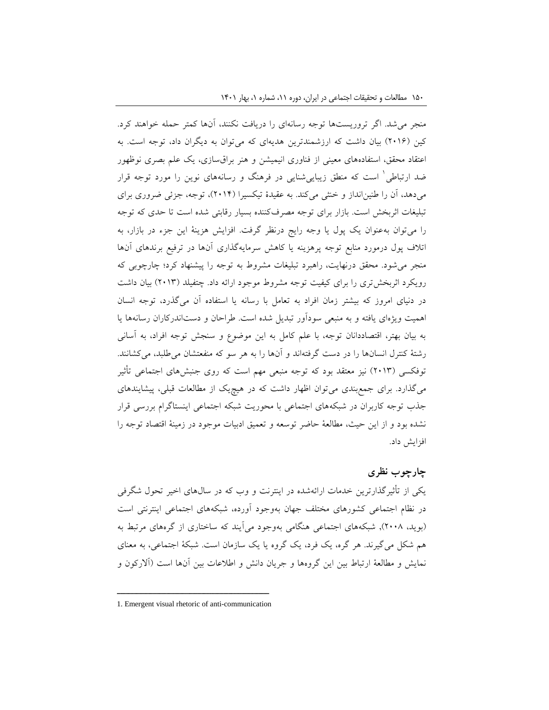منجر میشد. اگر تروریستها توجه رسانهای را دریافت نکنند، آنها کمتر حمله خواهند کرد. کین )2016( بیان داشت که ارزشمندترین هدیهای که میتوان به دیگران داد، توجه است. به اعتقاد محقق، استفادههای معینی از فناوری انیمیشن و هنر براقسازی، یک علم بصری نوظهور 1 ضد ارتباطی است که منطق زیباییشنایی در فرهنگ و رسانههای نوین را مورد توجه قرار میدهد، آن را طنینانداز و خنثی میکند. به عقیدۀ تیکسیرا )2014(، توجه، جزئی ضروری برای تبلیغات اثربخش است. بازار برای توجه مصرفکننده بسیار رقابتی شده است تا حدی که توجه را میتوان بهعنوان یک پول یا وجه رایج درنظر گرفت. افزایش هزینۀ این جزء در بازار، به اتالف پول درمورد منابع توجه پرهزینه یا کاهش سرمایهگذاری آنها در ترفیع برندهای آنها منجر میشود. محقق درنهایت، راهبرد تبلیغات مشروط به توجه را پیشنهاد کرد؛ چارچوبی که رویکرد اثربخشتری را برای کیفیت توجه مشروط موجود ارائه داد. چتفیلد )2013( بیان داشت در دنیای امروز که بیشتر زمان افراد به تعامل با رسانه یا استفاده آن میگذرد، توجه انسان اهمیت ویژهای یافته و به منبعی سودآور تبدیل شده است. طراحان و دستاندرکاران رسانهها یا به بیان بهتر، اقتصاددانان توجه، با علم کامل به این موضوع و سنجش توجه افراد، به آسانی رشتۀ کنترل انسانها را در دست گرفتهاند و آنها را به هر سو که منفعتشان میطلبد، میکشانند. توفکسی )2013( نیز معتقد بود که توجه منبعی مهم است که روی جنبشهای اجتماعی تأثیر میگذارد. برای جمعبندی میتوان اظهار داشت که در هیچیک از مطالعات قبلی، پیشایندهای جذب توجه کاربران در شبکههای اجتماعی با محوریت شبکه اجتماعی اینستاگرام بررسی قرار نشده بود و از این حیث، مطالعۀ حاضر توسعه و تعمیق ادبیات موجود در زمینۀ اقتصاد توجه را افزایش داد.

#### **چارچوب نظری**

یکی از تأثیرگذارترین خدمات ارائهشده در اینترنت و وب که در سالهای اخیر تحول شگرفی در نظام اجتماعی کشورهای مختلف جهان بهوجود آورده، شبکههای اجتماعی اینترنتی است )بوید، 2008(, شبکههای اجتماعی هنگامی بهوجود میآیند که ساختاری از گرههای مرتبط به هم شکل میگیرند. هر گره، یک فرد، یک گروه یا یک سازمان است. شبکۀ اجتماعی، به معنای نمایش و مطالعۀ ارتباط بین این گروهها و جریان دانش و اطالعات بین آنها است )آالرکون و

ــــــــــــــــــــــــــــــــــــــــــــــــــــــــــــــــــــــــــــــــــــــــــــــــــــــــــــــــــــــــــــــــــــــــــــــــ 1. Emergent visual rhetoric of anti-communication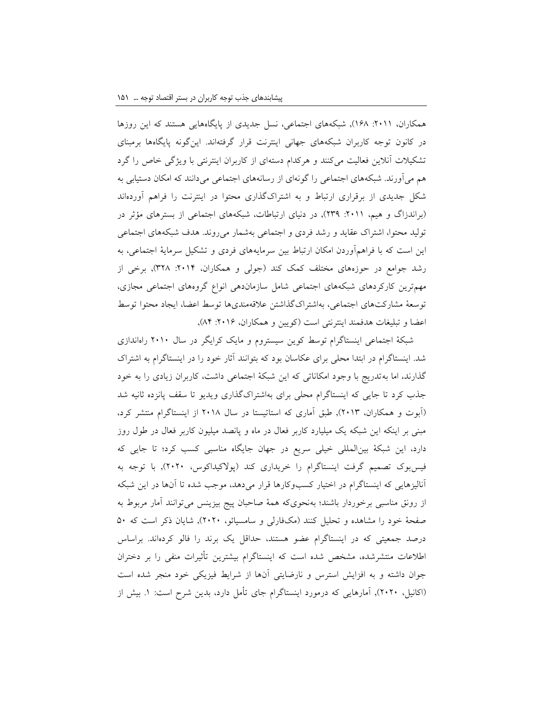همکاران، :2011 168(, شبکههای اجتماعی، نسل جدیدی از پایگاههایی هستند که این روزها در کانون توجه کاربران شبکههای جهانی اینترنت قرار گرفتهاند. اینگونه پایگاهها برمبنای تشکیالت آنالین فعالیت میکنند و هرکدام دستهای از کاربران اینترنتی با ویژگی خاص را گرد هم میآورند. شبکههای اجتماعی را گونهای از رسانههای اجتماعی میدانند که امکان دستیابی به شکل جدیدی از برقراری ارتباط و به اشتراکگذاری محتوا در اینترنت را فراهم آوردهاند (براندزاگ و هیم، ٢٠١١: ٢٣٩), در دنیای ارتباطات، شبکههای اجتماعی از بسترهای مؤثر در تولید محتوا، اشتراک عقاید و رشد فردی و اجتماعی بهشمار میروند. هدف شبکههای اجتماعی این است که با فراهمآوردن امکان ارتباط بین سرمایههای فردی و تشکیل سرمایۀ اجتماعی، به رشد جوامع در حوزههای مختلف کمک کند (جولی و همکاران، ۲۰۱۴: ۳۲۸), برخی از مهمترین کارکردهای شبکههای اجتماعی شامل سازماندهی انواع گروههای اجتماعی مجازی، توسعۀ مشارکتهای اجتماعی، بهاشتراکگذاشتن عالقهمندیها توسط اعضا، ایجاد محتوا توسط اعضا و تبلیغات هدفمند اینترنتی است (کویین و همکاران، ۲۰۱۶: ۸۴),

شبکۀ اجتماعی اینستاگرام توسط کوین سیستروم و مایک کرایگر در سال 2010 راهاندازی شد. اینستاگرام در ابتدا محلی برای عکاسان بود که بتوانند آثار خود را در اینستاگرام به اشتراک گذارند، اما بهتدریج با وجود امکاناتی که این شبکۀ اجتماعی داشت، کاربران زیادی را به خود جذب کرد تا جایی که اینستاگرام محلی برای بهاشتراکگذاری ویدیو تا سقف پانزده ثانیه شد )آبوت و همکاران، 2013(, طبق آماری که استاتیستا در سال 2018 از اینستاگرام منتشر کرد، مبنی بر اینکه این شبکه یک میلیارد کاربر فعال در ماه و پانصد میلیون کاربر فعال در طول روز دارد، این شبکۀ بینالمللی خیلی سریع در جهان جایگاه مناسبی کسب کرد؛ تا جایی که فیسبوک تصمیم گرفت اینستاگرام را خریداری کند )پوالکیداکوس، 2020(, با توجه به آنالیزهایی که اینستاگرام در اختیار کسبوکارها قرار میدهد، موجب شده تا آنها در این شبکه از رونق مناسبی برخوردار باشند؛ بهنحویکه همۀ صاحبان پیج بیزینس میتوانند آمار مربوط به صفحۀ خود را مشاهده و تحلیل کنند (مکفارلی و سامسیائو، ٢٠٢٠), شایان ذکر است که ۵۰ درصد جمعیتی که در اینستاگرام عضو هستند، حداقل یک برند را فالو کردهاند. براساس اطالعات منتشرشده، مشخص شده است که اینستاگرام بیشترین تأثیرات منفی را بر دختران جوان داشته و به افزایش استرس و نارضایتی آنها از شرایط فیزیکی خود منجر شده است )اکانیل، 2020(, آمارهایی که درمورد اینستاگرام جای تأمل دارد، بدین شرح است: .1 بیش از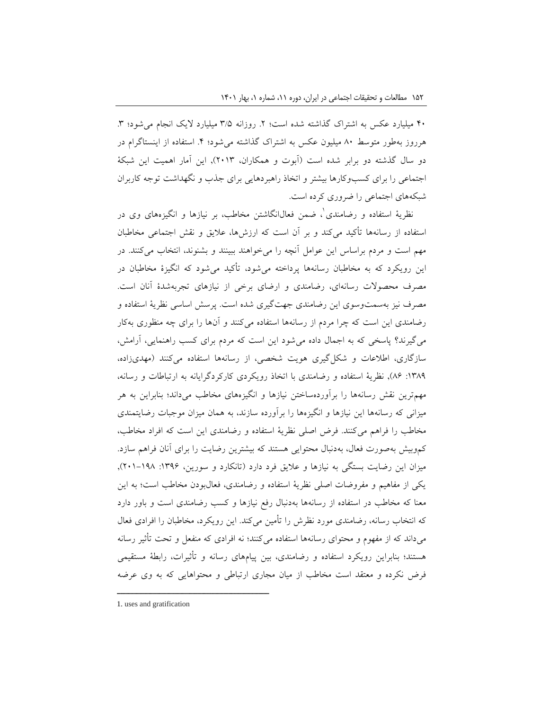۴۰ میلیارد عکس به اشتراک گذاشته شده است؛ ۲. روزانه ۳/۵ میلیارد لایک انجام می شود؛ ۳. هرروز بهطور متوسط ۸۰ میلیون عکس به اشتراک گذاشته می شود؛ ۴. استفاده از اینستاگرام در دو سال گذشته دو برابر شده است )آبوت و همکاران، 2013(, این آمار اهمیت این شبکۀ اجتماعی را برای کسبوکارها بیشتر و اتخاذ راهبردهایی برای جذب و نگهداشت توجه کاربران شبکههای اجتماعی را ضروری کرده است.

1 نظریۀ استفاده و رضامندی ، ضمن فعالانگاشتن مخاطب، بر نیازها و انگیزههای وی در استفاده از رسانهها تأکید میکند و بر آن است که ارزشها، عالیق و نقش اجتماعی مخاطبان مهم است و مردم براساس این عوامل آنچه را میخواهند ببینند و بشنوند، انتخاب میکنند. در این رویکرد که به مخاطبان رسانهها پرداخته میشود، تأکید میشود که انگیزۀ مخاطبان در مصرف محصوالت رسانهای، رضامندی و ارضای برخی از نیازهای تجربهشدۀ آنان است. مصرف نیز بهسمتوسوی این رضامندی جهتگیری شده است. پرسش اساسی نظریۀ استفاده و رضامندی این است که چرا مردم از رسانهها استفاده میکنند و آنها را برای چه منظوری بهکار میگیرند؟ پاسخی که به اجمال داده میشود این است که مردم برای کسب راهنمایی، آرامش، سازگاری، اطلاعات و شکل گیری هویت شخصی، از رسانهها استفاده میکنند (مهدیزاده، :1389 86(, نظریۀ استفاده و رضامندی با اتخاذ رویکردی کارکردگرایانه به ارتباطات و رسانه، مهمترین نقش رسانهها را برآوردهساختن نیازها و انگیزههای مخاطب میداند؛ بنابراین به هر میزانی که رسانهها این نیازها و انگیزهها را برآورده سازند، به همان میزان موجبات رضایتمندی مخاطب را فراهم میکنند. فرض اصلی نظریۀ استفاده و رضامندی این است که افراد مخاطب، کموبیش بهصورت فعال، بهدنبال محتوایی هستند که بیشترین رضایت را برای آنان فراهم سازد. میزان این رضایت بستگی به نیازها و علایق فرد دارد (تانکارد و سورین، ۱۳۹۶: ۱۹۸–۲۰۱), یکی از مفاهیم و مفروضات اصلی نظریۀ استفاده و رضامندی، فعالبودن مخاطب است؛ به این معنا که مخاطب در استفاده از رسانهها بهدنبال رفع نیازها و کسب رضامندی است و باور دارد که انتخاب رسانه، رضامندی مورد نظرش را تأمین میکند. این رویکرد، مخاطبان را افرادی فعال میداند که از مفهوم و محتوای رسانهها استفاده میکنند؛ نه افرادی که منفعل و تحت تأثیر رسانه هستند؛ بنابراین رویکرد استفاده و رضامندی، بین پیامهای رسانه و تأثیرات، رابطۀ مستقیمی فرض نکرده و معتقد است مخاطب از میان مجاری ارتباطی و محتواهایی که به وی عرضه

<sup>1.</sup> uses and gratification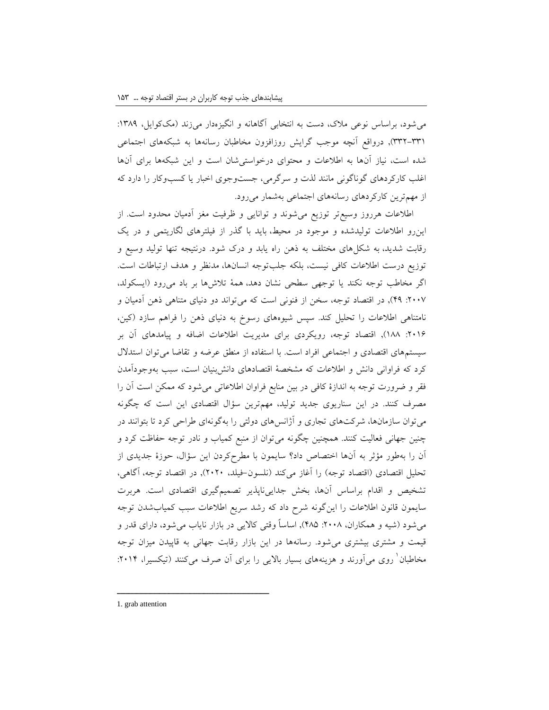میشود، براساس نوعی مالک، دست به انتخابی آگاهانه و انگیزهدار میزند )مککوایل، :1389 332-331(, درواقع آنچه موجب گرایش روزافزون مخاطبان رسانهها به شبکههای اجتماعی شده است، نیاز آنها به اطالعات و محتوای درخواستیشان است و این شبکهها برای آنها اغلب کارکردهای گوناگونی مانند لذت و سرگرمی، جستوجوی اخبار یا کسبوکار را دارد که از مهمترین کارکردهای رسانههای اجتماعی بهشمار میرود.

اطالعات هرروز وسیعتر توزیع میشوند و توانایی و ظرفیت مغز آدمیان محدود است. از اینرو اطالعات تولیدشده و موجود در محیط، باید با گذر از فیلترهای لگاریتمی و در یک رقابت شدید، به شکلهای مختلف به ذهن راه یابد و درک شود. درنتیجه تنها تولید وسیع و توزیع درست اطالعات کافی نیست، بلکه جلبتوجه انسانها، مدنظر و هدف ارتباطات است. اگر مخاطب توجه نکند یا توجهی سطحی نشان دهد، همۀ تالشها بر باد میرود )ایسکولد، :2007 49(, در اقتصاد توجه، سخن از فنونی است که میتواند دو دنیای متناهی ذهن آدمیان و نامتناهی اطالعات را تحلیل کند. سپس شیوههای رسوخ به دنیای ذهن را فراهم سازد )کین، :2016 188(, اقتصاد توجه، رویکردی برای مدیریت اطالعات اضافه و پیامدهای آن بر سیستمهای اقتصادی و اجتماعی افراد است. با استفاده از منطق عرضه و تقاضا میتوان استدالل کرد که فراوانی دانش و اطالعات که مشخصۀ اقتصادهای دانشبنیان است، سبب بهوجودآمدن فقر و ضرورت توجه به اندازۀ کافی در بین منابع فراوان اطالعاتی میشود که ممکن است آن را مصرف کنند. در این سناریوی جدید تولید، مهمترین سؤال اقتصادی این است که چگونه میتوان سازمانها، شرکتهای تجاری و آژانسهای دولتی را بهگونهای طراحی کرد تا بتوانند در چنین جهانی فعالیت کنند. همچنین چگونه میتوان از منبع کمیاب و نادر توجه حفاظت کرد و آن را بهطور مؤثر به آنها اختصاص داد؟ سایمون با مطرحکردن این سؤال، حوزۀ جدیدی از تحلیل اقتصادی (اقتصاد توجه) را آغاز میکند (نلسون-فیلد، ۲۰۲۰), در اقتصاد توجه، آگاهی، تشخیص و اقدام براساس آنها، بخش جداییناپذیر تصمیمگیری اقتصادی است. هربرت سایمون قانون اطالعات را اینگونه شرح داد که رشد سریع اطالعات سبب کمیابشدن توجه میشود (شیه و همکاران، ۲۰۰۸: ۴۸۵), اساساً وقتی کالایی در بازار نایاب میشود، دارای قدر و قیمت و مشتری بیشتری میشود. رسانهها در این بازار رقابت جهانی به قاپیدن میزان توجه مخاطبان ٰ روی میآورند و هزینههای بسیار بالایی را برای آن صرف میکنند (تیکسیرا، ۲۰۱۴:

1. grab attention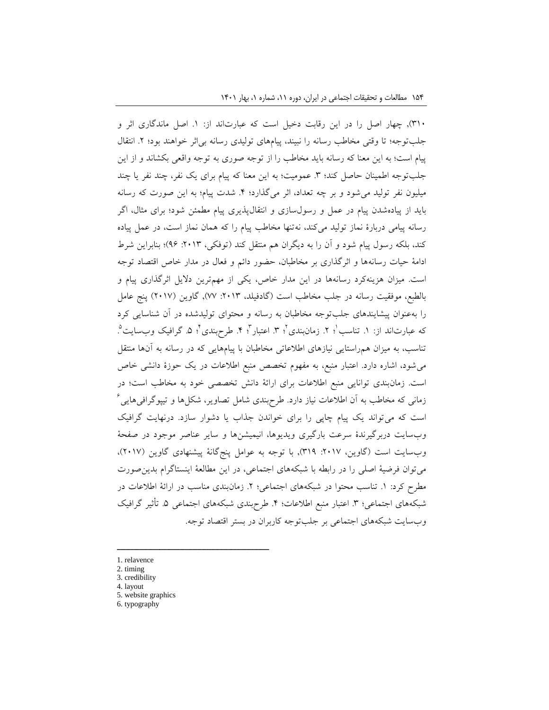310(, چهار اصل را در این رقابت دخیل است که عبارتاند از: .1 اصل ماندگاری اثر و جلبتوجه؛ تا وقتی مخاطب رسانه را نبیند، پیامهای تولیدی رسانه بیاثر خواهند بود؛ .2 انتقال پیام است؛ به این معنا که رسانه باید مخاطب را از توجه صوری به توجه واقعی بکشاند و از این جلبتوجه اطمینان حاصل کند؛ ٣. عمومیت؛ به این معنا که پیام برای یک نفر، چند نفر یا چند میلیون نفر تولید میشود و بر چه تعداد، اثر میگذارد؛ .4 شدت پیام؛ به این صورت که رسانه باید از پیادهشدن پیام در عمل و رسولسازی و انتقالپذیری پیام مطمئن شود؛ برای مثال، اگر رسانه پیامی دربارۀ نماز تولید میکند، نهتنها مخاطب پیام را که همان نماز است، در عمل پیاده کند، بلکه رسول پیام شود و آن را به دیگران هم منتقل کند (توفکی، ۲۰۱۳: ۹۶)؛ بنابراین شرط ادامۀ حیات رسانهها و اثرگذاری بر مخاطبان، حضور دائم و فعال در مدار خاص اقتصاد توجه است. میزان هزینهکرد رسانهها در این مدار خاص، یکی از مهمترین دالیل اثرگذاری پیام و بالطبع، موفقیت رسانه در جلب مخاطب است (گادفیلد، ٢٠١٣: ٧٧), گاوین (٢٠١٧) پنج عامل را بهعنوان پیشایندهای جلبتوجه مخاطبان به رسانه و محتوای تولیدشده در آن شناسایی کرد که عبارتاند از: ۱. تناسب P . زمان $\mathfrak{u}$ . زمانبندی P . اعتبار P . طرح $\mathfrak{u}$  ه. گرافیک وب $\mathfrak{u}$  . تناسب، به میزان همراستایی نیازهای اطالعاتی مخاطبان با پیامهایی که در رسانه به آنها منتقل میشود، اشاره دارد. اعتبار منبع، به مفهوم تخصص منبع اطالعات در یک حوزۀ دانشی خاص است. زمانبندی توانایی منبع اطالعات برای ارائۀ دانش تخصصی خود به مخاطب است؛ در  $^{\times}$ زمانی که مخاطب به آن اطلاعات نیاز دارد. طرحبندی شامل تصاویر، شکل $\,$ ها و تیپوگرافی $\,$ ایی است که میتواند یک پیام چاپی را برای خواندن جذاب یا دشوار سازد. درنهایت گرافیک وبسایت دربرگیرندۀ سرعت بارگیری ویدیوها، انیمیشنها و سایر عناصر موجود در صفحۀ وبسایت است (گاوین، ٢٠١٧: ٣١٩), با توجه به عوامل پنجگانۀ پیشنهادی گاوین (٢٠١٧)، میتوان فرضیۀ اصلی را در رابطه با شبکههای اجتماعی، در این مطالعۀ اینستاگرام بدینصورت مطرح کرد: ١. تناسب محتوا در شبکههای اجتماعی؛ ٢. زمانبندی مناسب در ارائۀ اطلاعات در شبکههای اجتماعی؛ ٣. اعتبار منبع اطلاعات؛ ۴. طرحبندی شبکههای اجتماعی ۵. تأثیر گرافیک وبسایت شبکههای اجتماعی بر جلبتوجه کاربران در بستر اقتصاد توجه.

- 1. relavence
- 2. timing
- 3. credibility
- 4. layout
- 5. website graphics

ــــــــــــــــــــــــــــــــــــــــــــــــــــــــــــــــــــــــــــــــــــــــــــــــــــــــــــــــــــــــــــــــــــــــــــــــ

6. typography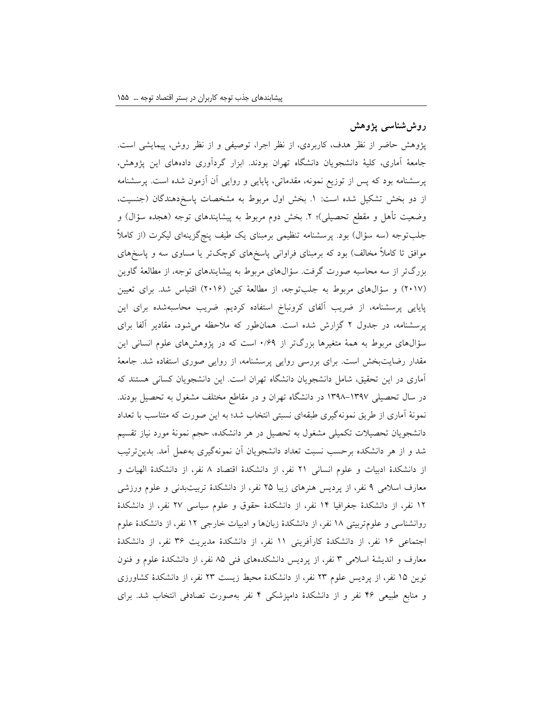## **روششناسی پژوهش**

پژوهش حاضر از نظر هدف، کاربردی، از نظر اجرا، توصیفی و از نظر روش، پیمایشی است. جامعۀ آماری، کلیۀ دانشجویان دانشگاه تهران بودند. ابزار گردآوری دادههای این پژوهش، پرسشنامه بود که پس از توزیع نمونه، مقدماتی، پایایی و روایی آن آزمون شده است. پرسشنامه از دو بخش تشکیل شده است: ١. بخش اول مربوط به مشخصات پاسخدهندگان (جنسیت، وضعیت تأهل و مقطع تحصیلی)؛ ۲. بخش دوم مربوط به پیشایندهای توجه (هجده سؤال) و جلبتوجه (سه سؤال) بود. پرسشنامه تنظیمی برمبنای یک طیف پنجگزینهای لیکرت (از کاملاً موافق تا کاملاً مخالف) بود که برمبنای فراوانی پاسخهای کوچکتر یا مساوی سه و پاسخهای بزرگتر از سه محاسبه صورت گرفت. سؤالهای مربوط به پیشایندهای توجه، از مطالعۀ گاوین )2017( و سؤالهای مربوط به جلبتوجه، از مطالعۀ کین )2016( اقتباس شد. برای تعیین پایایی پرسشنامه، از ضریب آلفای کرونباخ استفاده کردیم. ضریب محاسبهشده برای این پرسشنامه، در جدول 2 گزارش شده است. همانطور که مالحظه میشود، مقادیر آلفا برای سؤالهای مربوط به همۀ متغیرها بزرگتر از 0/69 است که در پژوهشهای علوم انسانی این مقدار رضایتبخش است. برای بررسی روایی پرسشنامه، از روایی صوری استفاده شد. جامعۀ آماری در این تحقیق، شامل دانشجویان دانشگاه تهران است. این دانشجویان کسانی هستند که در سال تحصیلی 1398-1397 در دانشگاه تهران و در مقاطع مختلف مشغول به تحصیل بودند. نمونۀ آماری از طریق نمونهگیری طبقهای نسبتی انتخاب شد؛ به این صورت که متناسب با تعداد دانشجویان تحصیالت تکمیلی مشغول به تحصیل در هر دانشکده، حجم نمونۀ مورد نیاز تقسیم شد و از هر دانشکده برحسب نسبت تعداد دانشجویان آن نمونهگیری بهعمل آمد. بدینترتیب از دانشکدۀ ادبیات و علوم انسانی 21 نفر، از دانشکدۀ اقتصاد 8 نفر، از دانشکدۀ الهیات و معارف اسالمی 9 نفر، از پردیس هنرهای زیبا 25 نفر، از دانشکدۀ تربیتبدنی و علوم ورزشی 12 نفر، از دانشکدۀ جغرافیا 14 نفر، از دانشکدۀ حقوق و علوم سیاسی 27 نفر، از دانشکدۀ روانشناسی و علومتربیتی 18 نفر، از دانشکدۀ زبانها و ادبیات خارجی 12 نفر، از دانشکدۀ علوم اجتماعی 16 نفر، از دانشکدۀ کارآفرینی 11 نفر، از دانشکدۀ مدیریت 36 نفر، از دانشکدۀ معارف و اندیشۀ اسالمی 3 نفر، از پردیس دانشکدههای فنی 85 نفر، از دانشکدۀ علوم و فنون نوین 15 نفر، از پردیس علوم 23 نفر، از دانشکدۀ محیط زیست 23 نفر، از دانشکدۀ کشاورزی و منابع طبیعی 46 نفر و از دانشکدۀ دامپزشکی 4 نفر بهصورت تصادفی انتخاب شد. برای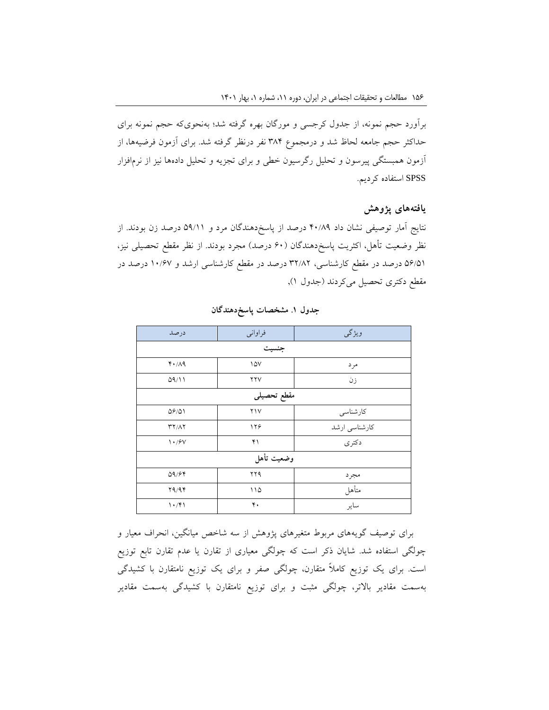برآورد حجم نمونه، از جدول کرجسی و مورگان بهره گرفته شد؛ بهنحویکه حجم نمونه برای حداکثر حجم جامعه لحاظ شد و درمجموع 384 نفر درنظر گرفته شد. برای آزمون فرضیهها، از آزمون همبستگی پیرسون و تحلیل رگرسیون خطی و برای تجزیه و تحلیل دادهها نیز از نرمافزار SPSS استفاده کردیم.

### **یافتههای پژوهش**

نتایج آمار توصیفی نشان داد 40/89 درصد از پاسخدهندگان مرد و 59/11 درصد زن بودند. از نظر وضعیت تأهل، اکثریت پاسخدهندگان (۶۰ درصد) مجرد بودند. از نظر مقطع تحصیلی نیز، 56/51 درصد در مقطع کارشناسی، 32/82 درصد در مقطع کارشناسی ارشد و 10/67 درصد در مقطع دکتری تحصیل میکردند (جدول ۱),

| درصد                                 | فراواني           | ويژگى         |  |  |  |  |  |
|--------------------------------------|-------------------|---------------|--|--|--|--|--|
| جنسيت                                |                   |               |  |  |  |  |  |
| $Y \cdot / \Lambda$ 9                | $\sqrt{\Delta V}$ | مرد           |  |  |  |  |  |
| 09/11                                | YYV               | زن            |  |  |  |  |  |
| مقطع تحصيلى                          |                   |               |  |  |  |  |  |
| 09/01                                | Y                 | كارشناسي      |  |  |  |  |  |
| $\mathbf{r} \mathbf{y} / \mathbf{y}$ | ۱۲۶               | كارشناسي ارشد |  |  |  |  |  |
| $\mathcal{N} \cdot \mathcal{S}$      | ۴۱                | دكترى         |  |  |  |  |  |
| وضعيت تأهل                           |                   |               |  |  |  |  |  |
| 09/99                                | ۲۲۹               | مجرد          |  |  |  |  |  |
| 79/97                                | ۱۱۵               | متأهل         |  |  |  |  |  |
| 1.791                                | ۴.                | ساير          |  |  |  |  |  |

**جدول .1 مشخصات پاسخدهندگان**

برای توصیف گویههای مربوط متغیرهای پژوهش از سه شاخص میانگین، انحراف معیار و چولگی استفاده شد. شایان ذکر است که چولگی معیاری از تقارن یا عدم تقارن تابع توزیع است. برای یک توزیع کامالً متقارن، چولگی صفر و برای یک توزیع نامتقارن با کشیدگی بهسمت مقادیر باالتر، چولگی مثبت و برای توزیع نامتقارن با کشیدگی بهسمت مقادیر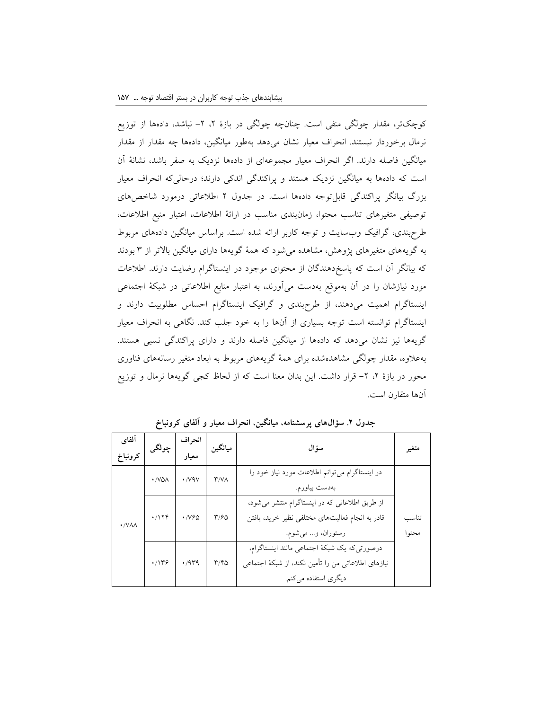کوچکتر، مقدار چولگی منفی است. چنانچه چولگی در بازۀ ۲، ۲– نباشد، دادهها از توزیع نرمال برخوردار نیستند. انحراف معیار نشان میدهد بهطور میانگین، دادهها چه مقدار از مقدار میانگین فاصله دارند. اگر انحراف معیار مجموعهای از دادهها نزدیک به صفر باشد، نشانۀ آن است که دادهها به میانگین نزدیک هستند و پراکندگی اندکی دارند؛ درحالیکه انحراف معیار بزرگ بیانگر پراکندگی قابلتوجه دادهها است. در جدول 2 اطالعاتی درمورد شاخصهای توصیفی متغیرهای تناسب محتوا، زمانبندی مناسب در ارائۀ اطالعات، اعتبار منبع اطالعات، طرحبندی، گرافیک وبسایت و توجه کاربر ارائه شده است. براساس میانگین دادههای مربوط به گویههای متغیرهای پژوهش، مشاهده میشود که همۀ گویهها دارای میانگین باالتر از 3 بودند که بیانگر آن است که پاسخدهندگان از محتوای موجود در اینستاگرام رضایت دارند. اطالعات مورد نیازشان را در آن بهموقع بهدست میآورند، به اعتبار منابع اطالعاتی در شبکۀ اجتماعی اینستاگرام اهمیت میدهند، از طرحبندی و گرافیک اینستاگرام احساس مطلوبیت دارند و اینستاگرام توانسته است توجه بسیاری از آنها را به خود جلب کند. نگاهی به انحراف معیار گویهها نیز نشان میدهد که دادهها از میانگین فاصله دارند و دارای پراکندگی نسبی هستند. بهعالوه، مقدار چولگی مشاهدهشده برای همۀ گویههای مربوط به ابعاد متغیر رسانههای فناوری محور در بازۀ ۲، ۲- قرار داشت. این بدان معنا است که از لحاظ کجی گویهها نرمال و توزیع آنها متقارن است.

| ألفاي        | چولگى        | انحراف                    | ميانگين                       | سؤال                                                |       |
|--------------|--------------|---------------------------|-------------------------------|-----------------------------------------------------|-------|
| كرونباخ      |              | معيار                     |                               |                                                     | متغير |
|              | $\cdot$ /VQA | $\cdot$ / $\vee$ 9 $\vee$ | $\mathsf{r}/\mathsf{v}\wedge$ | در اینستاگرام میتوانم اطلاعات مورد نیاز خود را      |       |
|              |              |                           |                               | بەدست بياورم.                                       |       |
|              |              |                           |                               | از طریق اطلاعاتی که در اینستاگرام منتشر می شود،     |       |
| $\cdot$ /VAA | .7179        | $\cdot$ / $V90$           | $\frac{90}{20}$               | قادر به انجام فعالیتهای مختلفی نظیر خرید، یافتن     | تناسب |
|              |              |                           |                               | رستوران، و مي شوم.                                  | محتوا |
|              |              |                           |                               | درصورتی که یک شبکهٔ اجتماعی مانند اینستاگرام،       |       |
|              | .7179        | .444                      | $\mathbf{r}/\mathbf{r}$       | نیازهای اطلاعاتی من را تأمین نکند، از شبکهٔ اجتماعی |       |
|              |              |                           |                               | دیگری استفاده میکنم.                                |       |

**جدول .2 سؤالهای پرسشنامه، میانگین، انحراف معیار و آلفای کرونباخ**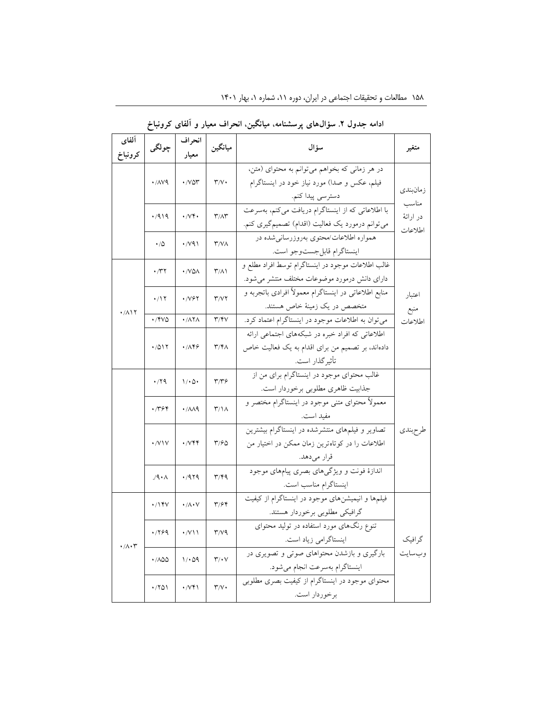| ألفاي                        | چولگى                      | انحراف                                      | ميانگين                           | سؤال                                                  |           |  |
|------------------------------|----------------------------|---------------------------------------------|-----------------------------------|-------------------------------------------------------|-----------|--|
| كرونباخ                      |                            | معيار                                       |                                   |                                                       | متغير     |  |
|                              |                            |                                             |                                   | در هر زمانی که بخواهم میتوانم به محتوای (متن،         |           |  |
|                              | $\cdot$ / $\land\lor\land$ | $\cdot$ / $\vee$ $\circ$ $\circ$            | $\mathbf{r}/\mathbf{v}$           | فیلم، عکس و صدا) مورد نیاز خود در اینستاگرام          | زمانبندى  |  |
|                              |                            |                                             |                                   | دسترسي پيدا كنم.                                      | مناسب     |  |
|                              | ۰/۹۱۹                      | $\cdot$ / $\vee\mathfrak{r}$ .              | $\mathbf{r}/\mathbf{r}$           | با اطلاعاتی که از اینستاگرام دریافت میکنم، بهسرعت     | در ارائهٔ |  |
|                              |                            |                                             |                                   | می توانم درمورد یک فعالیت (اقدام) تصمیم گیری کنم.     | اطلاعات   |  |
|                              | ۰٬۵                        | $\cdot$ / $\vee$ 9)                         | $\mathsf{r}/\mathsf{v}$           | همواره اطلاعات/محتوى بهروزرساني شده در                |           |  |
|                              |                            |                                             |                                   | اينستاگرام قابل جست وجو است.                          |           |  |
|                              | $\cdot$ /۳۲                | ./VQA                                       | $\mathsf{r}/\mathsf{v}$           | غالب اطلاعات موجود در اينستاگرام توسط افراد مطلع و    |           |  |
|                              |                            |                                             |                                   | دارای دانش درمورد موضوعات مختلف منتشر می شود.         |           |  |
|                              | $\cdot$ /۱۲                | ۰/۷۶۲                                       | $\mathsf{r}/\mathsf{v}\mathsf{r}$ | منابع اطلاعاتی در اینستاگرام معمولاً افرادی باتجربه و | اعتبار    |  |
| $\cdot$ / $\wedge$ \ \       |                            |                                             |                                   | متخصص در یک زمینهٔ خاص هستند.                         | منبع      |  |
|                              | ./۴VQ                      | $\cdot$ / $\wedge \overline{\wedge} \wedge$ | $\mathsf{r}/\mathsf{r}$           | می توان به اطلاعات موجود در اینستاگرام اعتماد کرد.    | اطلاعات   |  |
|                              |                            |                                             |                                   | اطلاعاتی که افراد خبره در شبکههای اجتماعی ارائه       |           |  |
|                              | ۱۷۵۱۲                      | .789                                        | $\mathsf{r}/\mathsf{r}$           | دادهاند، بر تصمیم من برای اقدام به یک فعالیت خاص      |           |  |
|                              |                            |                                             |                                   | تأثيرگذار است.                                        |           |  |
|                              | ۰/۲۹                       | $1/\cdot 0 \cdot$                           | $\mathbf{r}/\mathbf{r}$ ۶         | غالب محتوای موجود در اینستاگرام برای من از            |           |  |
|                              |                            |                                             |                                   | جذابيت ظاهري مطلوبي برخوردار است.                     |           |  |
|                              | .7794                      | $\cdot$ / $\land\land\$                     | $\mathsf{r}/\mathsf{N}$           | معمولاً محتوای متنی موجود در اینستاگرام مختصر و       |           |  |
|                              |                            |                                             |                                   | مفيد است.                                             |           |  |
|                              |                            |                                             |                                   | تصاویر و فیلمهای منتشرشده در اینستاگرام بیشترین       | طرحبندى   |  |
|                              | $\cdot$ /V \ V             | $\cdot$ / $\vee$ $\circ$                    | $\frac{6}{2}$                     | اطلاعات را در کوتاهترین زمان ممکن در اختیار من        |           |  |
|                              |                            |                                             |                                   | قرار مىدهد.                                           |           |  |
|                              | 19.1                       | .7979                                       | ۳/۴۹                              | اندازهٔ فونت و ویژگیهای بصری پیامهای موجود            |           |  |
|                              |                            |                                             |                                   | اينستاگرام مناسب است.                                 |           |  |
|                              | $\cdot$ /۱۴۷               | $\cdot/\wedge\cdot\vee$                     | $\mathbf{r}/\mathbf{r}$           | فیلمها و انیمیشنهای موجود در اینستاگرام از کیفیت      |           |  |
|                              |                            |                                             |                                   | گرافیکی مطلوبی برخوردار هستند.                        |           |  |
|                              | .799                       | $\cdot$ /V\\                                | $\mathsf{r}/\mathsf{v}$           | تنوع رنگهای مورد استفاده در تولید محتوای              |           |  |
| $\cdot/\wedge\cdot\curlyvee$ |                            |                                             |                                   | اینستاگرامی زیاد است.                                 | گرافیک    |  |
|                              | $\cdot$ /100               | $1/\cdot$ 59                                | $\mathbf{r}/\cdot\mathbf{v}$      | بارگیری و بازشدن محتواهای صوتی و تصویری در            | وبسايت    |  |
|                              |                            |                                             |                                   | اينستاگرام بەسرعت انجام مى شود.                       |           |  |
|                              | ۰/۲۵۱                      | $\cdot$ / $Vf$                              | $\mathbf{r}/\mathbf{v}$ .         | محتوای موجود در اینستاگرام از کیفیت بصری مطلوبی       |           |  |
|                              |                            |                                             |                                   | برخوردار است.                                         |           |  |

**ادامه جدول .2 سؤالهای پرسشنامه، میانگین، انحراف معیار و آلفای کرونباخ**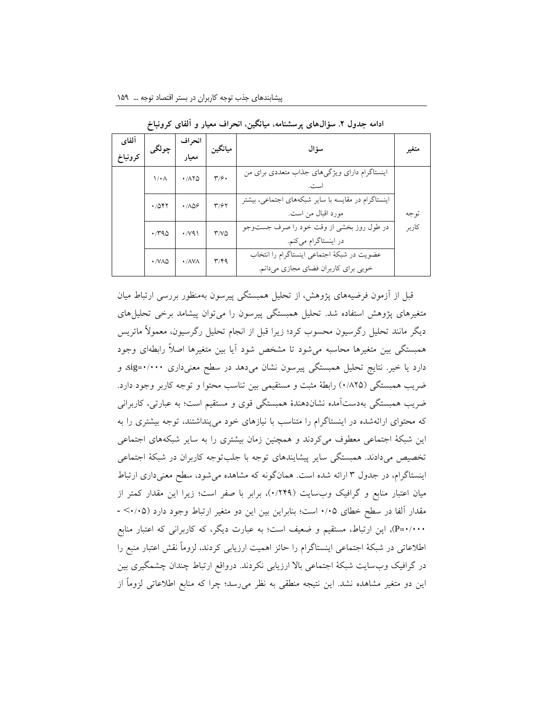| آلفاي<br>كرونباخ | چولگى             | انحر اف<br>معيار                 | ميانگين                   | سؤ ال                                                                              | متغير |
|------------------|-------------------|----------------------------------|---------------------------|------------------------------------------------------------------------------------|-------|
|                  | $1/\cdot \Lambda$ | .710                             | $\mathbf{r}/\mathbf{r}$ . | اینستاگرام دارای ویژگیهای جذاب متعددی برای من<br>ست.                               |       |
|                  | .7057             | .709                             | $\mathbf{r}/\mathbf{r}$   | اینستاگرام در مقایسه با سایر شبکههای اجتماعی، بیشتر<br>مورد اقبال من است.          | تو جه |
|                  | .790              | $\cdot$ / $\vee$ 9)              | Y/VQ                      | در طول روز بخشی از وقت خود را صرف جستوجو<br>در اینستاگرام میکنم.                   | كاربر |
|                  | $\cdot$ /VAQ      | $\cdot$ / $\land$ $\lor$ $\land$ | $\mathbf{r}/\mathbf{r}$   | عضويت در شبكة اجتماعي اينستاگرام را انتخاب<br>خوبی برای کاربران فضای مجازی میدانم. |       |

**ادامه جدول .2 سؤالهای پرسشنامه، میانگین، انحراف معیار و آلفای کرونباخ**

قبل از آزمون فرضیههای پژوهش، از تحلیل همبستگی پیرسون بهمنظور بررسی ارتباط میان متغیرهای پژوهش استفاده شد. تحلیل همبستگی پیرسون را میتوان پیشامد برخی تحلیلهای دیگر مانند تحلیل رگرسیون محسوب کرد؛ زیرا قبل از انجام تحلیل رگرسیون، معموالً ماتریس همبستگی بین متغیرها محاسبه میشود تا مشخص شود آیا بین متغیرها اصالً رابطهای وجود دارد یا خیر. نتایج تحلیل همبستگی پیرسون نشان میدهد در سطح معنیداری 0/000=sig، و ضریب همبستگی (۰/۸۲۵) رابطۀ مثبت و مستقیمی بین تناسب محتوا و توجه کاربر وجود دارد. ضریب همبستگی بهدستآمده نشاندهندۀ همبستگی قوی و مستقیم است؛ به عبارتی، کاربرانی که محتوای ارائهشده در اینستاگرام را متناسب با نیازهای خود میپنداشتند، توجه بیشتری را به این شبکۀ اجتماعی معطوف میکردند و همچنین زمان بیشتری را به سایر شبکههای اجتماعی تخصیص میدادند. همبستگی سایر پیشایندهای توجه با جلبتوجه کاربران در شبکۀ اجتماعی اینستاگرام، در جدول 3 ارائه شده است. همانگونه که مشاهده میشود، سطح معنیداری ارتباط میان اعتبار منابع و گرافیک وبسایت )0/249(، برابر با صفر است؛ زیرا این مقدار کمتر از مقدار آلفا در سطح خطای 0/05 است؛ بنابراین بین این دو متغیر ارتباط وجود دارد )0/05< - 0/000=P), این ارتباط، مستقیم و ضعیف است؛ به عبارت دیگر، که کاربرانی که اعتبار منابع اطالعاتی در شبکۀ اجتماعی اینستاگرام را حائز اهمیت ارزیابی کردند، لزوماً نقش اعتبار منبع را در گرافیک وبسایت شبکۀ اجتماعی باال ارزیابی نکردند. درواقع ارتباط چندان چشمگیری بین این دو متغیر مشاهده نشد. این نتیجه منطقی به نظر میرسد؛ چرا که منابع اطالعاتی لزوماً از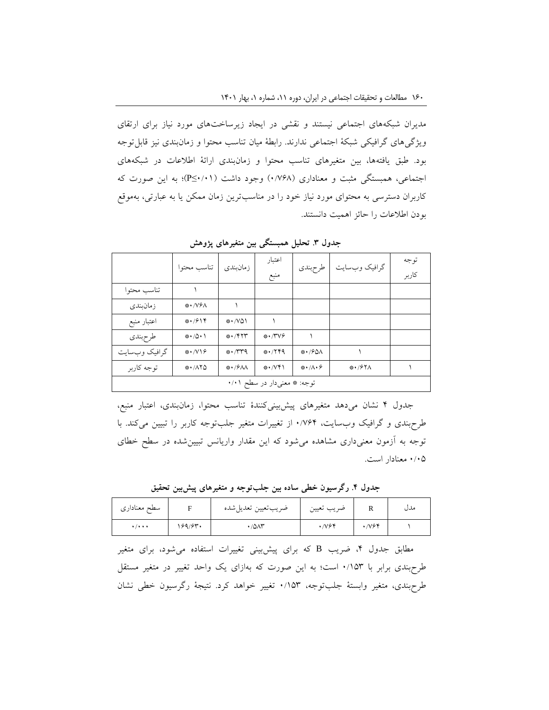مدیران شبکههای اجتماعی نیستند و نقشی در ایجاد زیرساختهای مورد نیاز برای ارتقای ویژگیهای گرافیکی شبکۀ اجتماعی ندارند. رابطۀ میان تناسب محتوا و زمانبندی نیز قابلتوجه بود. طبق یافتهها، بین متغیرهای تناسب محتوا و زمانبندی ارائۀ اطالعات در شبکههای اجتماعی، همبستگی مثبت و معناداری )0/768( وجود داشت )0/01≥P)؛ به این صورت که کاربران دسترسی به محتوای مورد نیاز خود را در مناسبترین زمان ممکن یا به عبارتی، بهموقع بودن اطالعات را حائز اهمیت دانستند.

|                             | تناسب محتوا              | زمانبندى              | اعتبار<br>منبع            | طرحبندى                     | گرافیک وبسایت | توجه<br>كاربر |  |
|-----------------------------|--------------------------|-----------------------|---------------------------|-----------------------------|---------------|---------------|--|
| تناسب محتوا                 |                          |                       |                           |                             |               |               |  |
| زمانبندى                    | **/V&A                   |                       |                           |                             |               |               |  |
| اعتبار منبع                 | $* \cdot 7914$           | **/VQ1                |                           |                             |               |               |  |
| طرحبندى                     | $* \cdot / \Delta \cdot$ | $* \cdot$ / $* \cdot$ | $* \cdot \wedge^2 \vee^2$ |                             |               |               |  |
| گرافیک وبسایت               | **/V\&                   | $* \cdot \wedge r$    | *****9                    | $* \cdot$ / $50$            |               |               |  |
| توجه كاربر                  | $* \cdot / \Lambda$ YQ   | **/ <i>6</i> AA       | **/V۴۱                    | $* \cdot / \Lambda \cdot f$ | ※・/۶۲人        |               |  |
| توجه: * معنىدار در سطح ۰/۰۱ |                          |                       |                           |                             |               |               |  |

**جدول .3 تحلیل همبستگی بین متغیرهای پژوهش**

جدول 4 نشان میدهد متغیرهای پیشبینیکنندۀ تناسب محتوا، زمانبندی، اعتبار منبع، طرحبندی و گرافیک وبسایت، 0/764 از تغییرات متغیر جلبتوجه کاربر را تبیین میکند. با توجه به آزمون معنیداری مشاهده میشود که این مقدار واریانس تبیینشده در سطح خطای 0/05 معنادار است.

**جدول .4 رگرسیون خطی ساده بین جلبتوجه و متغیرهای پیشبین تحقیق**

| سطح معناداري | F              | ضريب تعيين تعديل شده  | ضريب تعيين | 17           | مدں |
|--------------|----------------|-----------------------|------------|--------------|-----|
| $\cdots$     | <b>،۶۹/۶۳۰</b> | $\cdot$ /0 $\wedge$ r | .794       | $\cdot$ /v۶۴ |     |

مطابق جدول ۴، ضریب B که برای پیشبینی تغییرات استفاده میشود، برای متغیر طرحبندی برابر با 0/153 است؛ به این صورت که بهازای یک واحد تغییر در متغیر مستقل طرحبندی، متغیر وابستۀ جلبتوجه، 0/153 تغییر خواهد کرد. نتیجۀ رگرسیون خطی نشان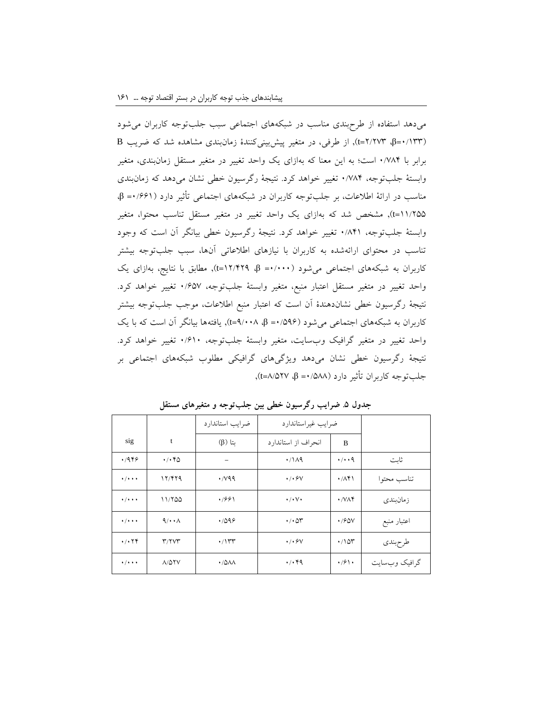میدهد استفاده از طرحبندی مناسب در شبکههای اجتماعی سبب جلبتوجه کاربران میشود )0/133=β، 2/273=t), از طرفی، در متغیر پیشبینیکنندۀ زمانبندی مشاهده شد که ضریب <sup>B</sup> برابر با 0/784 است؛ به این معنا که بهازای یک واحد تغییر در متغیر مستقل زمانبندی، متغیر وابستۀ جلبتوجه، 0/784 تغییر خواهد کرد. نتیجۀ رگرسیون خطی نشان میدهد که زمانبندی مناسب در ارائۀ اطالعات، بر جلبتوجه کاربران در شبکههای اجتماعی تأثیر دارد )0/661= β، 11/255=t), مشخص شد که بهازای یک واحد تغییر در متغیر مستقل تناسب محتوا، متغیر وابستۀ جلبتوجه، 0/841 تغییر خواهد کرد. نتیجۀ رگرسیون خطی بیانگر آن است که وجود تناسب در محتوای ارائهشده به کاربران با نیازهای اطالعاتی آنها، سبب جلبتوجه بیشتر کاربران به شبکههای اجتماعی میشود )0/000= β، 12/429=t), مطابق با نتایج، بهازای یک واحد تغییر در متغیر مستقل اعتبار منبع، متغیر وابستۀ جلبتوجه، 0/657 تغییر خواهد کرد. نتیجۀ رگرسیون خطی نشاندهندۀ آن است که اعتبار منبع اطالعات، موجب جلبتوجه بیشتر کاربران به شبکههای اجتماعی میشود )0/596= β، 9/008=t), یافتهها بیانگر آن است که با یک واحد تغییر در متغیر گرافیک وبسایت، متغیر وابستۀ جلبتوجه، 0/610 تغییر خواهد کرد. نتیجۀ رگرسیون خطی نشان میدهد ویژگیهای گرافیکی مطلوب شبکههای اجتماعی بر جلبتوجه کاربران تأثیر دارد )0/588= β، 8/527=t),

|                                         |                                           | ضرايب استاندارد | ضرايب غيراستاندارد                |                                        |               |
|-----------------------------------------|-------------------------------------------|-----------------|-----------------------------------|----------------------------------------|---------------|
| sig                                     | t                                         | $(\beta)$ نتا   | انحراف از استاندارد               | B                                      |               |
| .489                                    | $\cdot$ / $\cdot$ $\cdot$ $\circ$ $\circ$ |                 | $\cdot$ /119                      | $\cdot$ / $\cdot$ 9                    | ثاىت          |
| $\cdot$ / $\cdot$ + $\cdot$             | 17/479                                    | $\cdot$ /v99    | $\cdot$ / $\cdot$ $\theta$ $\vee$ | $\cdot$ / $\wedge$ $\uparrow$ $\wedge$ | تناسب محتوا   |
| $\cdot$ / $\cdot$ + $\cdot$             | 11/100                                    | .7991           | $\cdot/\cdot \vee \cdot$          | $\cdot$ / $\vee$ $\wedge$ $\uparrow$   | ز مان.ندی     |
| $\cdot$ / $\cdot$ + $\cdot$             | $\mathcal{A}/\cdot\cdot\Lambda$           | .7099           | $\cdot$ / $\cdot$ $\circ$ $\cdot$ | $\cdot$ /90V                           | اعتبار منبع   |
| $\cdot$ / $\cdot$ $\uparrow$ $\uparrow$ | T/7VT                                     | $\cdot$ /۱۳۳    | $\cdot$ / $\cdot$ $\theta$ V      | $\cdot$ / 1 $\circ$ $\cdot$            | طرحبندى       |
| $\bullet$ / $\bullet$ + $\bullet$       | $A/\Delta YV$                             | $\cdot$ /0/1/   | $\cdot$ / $\cdot$ $99$            | $\cdot$ /9 \ $\cdot$                   | گرافیک وبسایت |

**جدول .5 ضرایب رگرسیون خطی بین جلبتوجه و متغیرهای مستقل**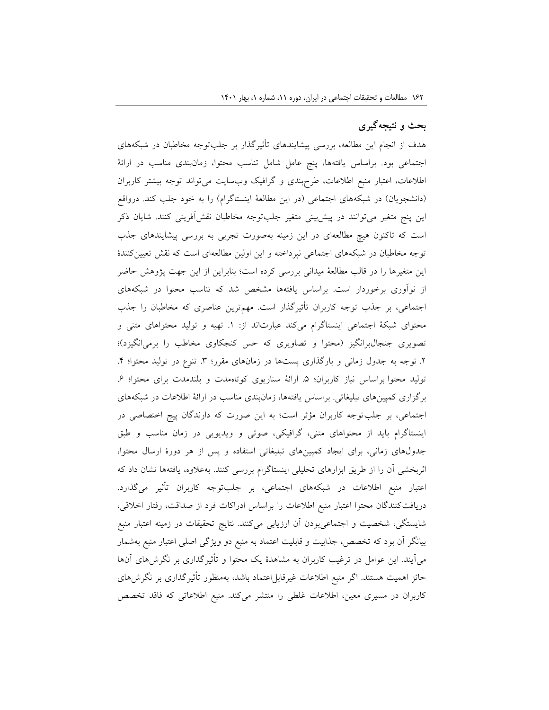# **بحث و نتیجهگیری**

هدف از انجام این مطالعه، بررسی پیشایندهای تأثیرگذار بر جلبتوجه مخاطبان در شبکههای اجتماعی بود. براساس یافتهها، پنج عامل شامل تناسب محتوا، زمانبندی مناسب در ارائۀ اطالعات، اعتبار منبع اطالعات، طرحبندی و گرافیک وبسایت میتواند توجه بیشتر کاربران (دانشجویان) در شبکههای اجتماعی (در این مطالعۀ اینستاگرام) را به خود جلب کند. درواقع این پنج متغیر میتوانند در پیشبینی متغیر جلبتوجه مخاطبان نقشآفرینی کنند. شایان ذکر است که تاکنون هیچ مطالعهای در این زمینه بهصورت تجربی به بررسی پیشایندهای جذب توجه مخاطبان در شبکههای اجتماعی نپرداخته و این اولین مطالعهای است که نقش تعیینکنندۀ این متغیرها را در قالب مطالعۀ میدانی بررسی کرده است؛ بنابراین از این جهت پژوهش حاضر از نوآوری برخوردار است. براساس یافتهها مشخص شد که تناسب محتوا در شبکههای اجتماعی، بر جذب توجه کاربران تأثیرگذار است. مهمترین عناصری که مخاطبان را جذب محتوای شبکۀ اجتماعی اینستاگرام میکند عبارتاند از: .1 تهیه و تولید محتواهای متنی و تصویری جنجالبرانگیز (محتوا و تصاویری که حس کنجکاوی مخاطب را برمیانگیزد)؛ .2 توجه به جدول زمانی و بارگذاری پستها در زمانهای مقرر؛ ٣. تنوع در تولید محتوا؛ ۴. تولید محتوا براساس نیاز کاربران؛ ۵ ارائۀ سناریوی کوتاهمدت و بلندمدت برای محتوا؛ ۶. برگزاری کمپینهای تبلیغاتی. براساس یافتهها، زمانبندی مناسب در ارائۀ اطالعات در شبکههای اجتماعی، بر جلبتوجه کاربران مؤثر است؛ به این صورت که دارندگان پیج اختصاصی در اینستاگرام باید از محتواهای متنی، گرافیکی، صوتی و ویدیویی در زمان مناسب و طبق جدولهای زمانی، برای ایجاد کمپینهای تبلیغاتی استفاده و پس از هر دورۀ ارسال محتوا، اثربخشی آن را از طریق ابزارهای تحلیلی اینستاگرام بررسی کنند. بهعالوه، یافتهها نشان داد که اعتبار منبع اطالعات در شبکههای اجتماعی، بر جلبتوجه کاربران تأثیر میگذارد. دریافتکنندگان محتوا اعتبار منبع اطالعات را براساس ادراکات فرد از صداقت، رفتار اخالقی، شایستگی، شخصیت و اجتماعیبودن آن ارزیابی میکنند. نتایج تحقیقات در زمینه اعتبار منبع بیانگر آن بود که تخصص، جذابیت و قابلیت اعتماد به منبع دو ویژگی اصلی اعتبار منبع بهشمار میآیند. این عوامل در ترغیب کاربران به مشاهدۀ یک محتوا و تأثیرگذاری بر نگرشهای آنها حائز اهمیت هستند. اگر منبع اطالعات غیرقابلاعتماد باشد، بهمنظور تأثیرگذاری بر نگرشهای کاربران در مسیری معین، اطالعات غلطی را منتشر میکند. منبع اطالعاتی که فاقد تخصص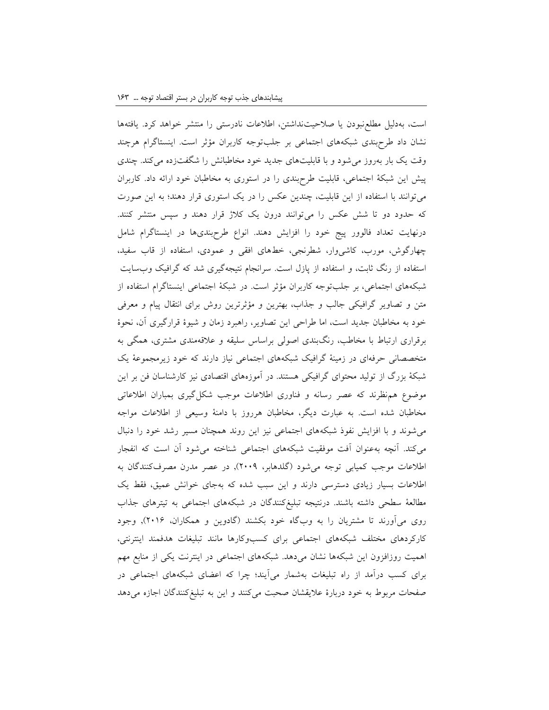است، بهدلیل مطلعنبودن یا صالحیتنداشتن، اطالعات نادرستی را منتشر خواهد کرد. یافتهها نشان داد طرحبندی شبکههای اجتماعی بر جلبتوجه کاربران مؤثر است. اینستاگرام هرچند وقت یک بار بهروز میشود و با قابلیتهای جدید خود مخاطبانش را شگفتزده میکند. چندی پیش این شبکۀ اجتماعی، قابلیت طرحبندی را در استوری به مخاطبان خود ارائه داد. کاربران میتوانند با استفاده از این قابلیت، چندین عکس را در یک استوری قرار دهند؛ به این صورت که حدود دو تا شش عکس را میتوانند درون یک کالژ قرار دهند و سپس منتشر کنند. درنهایت تعداد فالوور پیج خود را افزایش دهند. انواع طرحبندیها در اینستاگرام شامل چهارگوش، مورب، کاشیوار، شطرنجی، خطهای افقی و عمودی، استفاده از قاب سفید، استفاده از رنگ ثابت، و استفاده از پازل است. سرانجام نتیجهگیری شد که گرافیک وبسایت شبکههای اجتماعی، بر جلبتوجه کاربران مؤثر است. در شبکۀ اجتماعی اینستاگرام استفاده از متن و تصاویر گرافیکی جالب و جذاب، بهترین و مؤثرترین روش برای انتقال پیام و معرفی خود به مخاطبان جدید است، اما طراحی این تصاویر، راهبرد زمان و شیوۀ قرارگیری آن، نحوۀ برقراری ارتباط با مخاطب، رنگبندی اصولی براساس سلیقه و عالقهمندی مشتری، همگی به متخصصانی حرفهای در زمینۀ گرافیک شبکههای اجتماعی نیاز دارند که خود زیرمجموعۀ یک شبکۀ بزرگ از تولید محتوای گرافیکی هستند. در آموزههای اقتصادی نیز کارشناسان فن بر این موضوع همنظرند که عصر رسانه و فناوری اطالعات موجب شکلگیری بمباران اطالعاتی مخاطبان شده است. به عبارت دیگر، مخاطبان هرروز با دامنۀ وسیعی از اطالعات مواجه میشوند و با افزایش نفوذ شبکههای اجتماعی نیز این روند همچنان مسیر رشد خود را دنبال میکند. آنچه بهعنوان آفت موفقیت شبکههای اجتماعی شناخته میشود آن است که انفجار اطلاعات موجب کمیابی توجه میشود (گلدهابر، ۲۰۰۹), در عصر مدرن مصرفکنندگان به اطالعات بسیار زیادی دسترسی دارند و این سبب شده که بهجای خوانش عمیق، فقط یک مطالعۀ سطحی داشته باشند. درنتیجه تبلیغکنندگان در شبکههای اجتماعی به تیترهای جذاب روی میآورند تا مشتریان را به وبگاه خود بکشند (گادوین و همکاران، ۲۰۱۶), وجود کارکردهای مختلف شبکههای اجتماعی برای کسبوکارها مانند تبلیغات هدفمند اینترنتی، اهمیت روزافزون این شبکهها نشان میدهد. شبکههای اجتماعی در اینترنت یکی از منابع مهم برای کسب درآمد از راه تبلیغات بهشمار میآیند؛ چرا که اعضای شبکههای اجتماعی در صفحات مربوط به خود دربارۀ عالیقشان صحبت میکنند و این به تبلیغکنندگان اجازه میدهد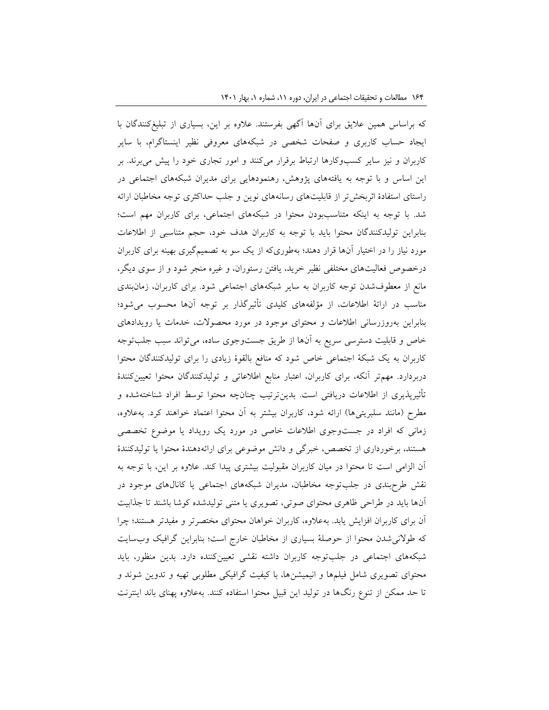که براساس همین عالیق برای آنها آگهی بفرستند. عالوه بر این، بسیاری از تبلیغکنندگان با ایجاد حساب کاربری و صفحات شخصی در شبکههای معروفی نظیر اینستاگرام، با سایر کاربران و نیز سایر کسبوکارها ارتباط برقرار میکنند و امور تجاری خود را پیش میبرند. بر این اساس و با توجه به یافتههای پژوهش، رهنمودهایی برای مدیران شبکههای اجتماعی در راستای استفادۀ اثربخشتر از قابلیتهای رسانههای نوین و جلب حداکثری توجه مخاطبان ارائه شد. با توجه به اینکه متناسببودن محتوا در شبکههای اجتماعی، برای کاربران مهم است؛ بنابراین تولیدکنندگان محتوا باید با توجه به کاربران هدف خود، حجم متناسبی از اطالعات مورد نیاز را در اختیار آنها قرار دهند؛ بهطوریکه از یک سو به تصمیمگیری بهینه برای کاربران درخصوص فعالیتهای مختلفی نظیر خرید، یافتن رستوران، و غیره منجر شود و از سوی دیگر، مانع از معطوفشدن توجه کاربران به سایر شبکههای اجتماعی شود. برای کاربران، زمانبندی مناسب در ارائۀ اطالعات، از مؤلفههای کلیدی تأثیرگذار بر توجه آنها محسوب میشود؛ بنابراین بهروزرسانی اطالعات و محتوای موجود در مورد محصوالت، خدمات یا رویدادهای خاص و قابلیت دسترسی سریع به آنها از طریق جستوجوی ساده، میتواند سبب جلبتوجه کاربران به یک شبکۀ اجتماعی خاص شود که منافع بالقوۀ زیادی را برای تولیدکنندگان محتوا دربردارد. مهمتر آنکه، برای کاربران، اعتبار منابع اطالعاتی و تولیدکنندگان محتوا تعیینکنندۀ تأثیرپذیری از اطالعات دریافتی است. بدینترتیب چنانچه محتوا توسط افراد شناختهشده و مطرح (مانند سلبریتیها) ارائه شود، کاربران بیشتر به آن محتوا اعتماد خواهند کرد. بهعلاوه، زمانی که افراد در جستوجوی اطالعات خاصی در مورد یک رویداد یا موضوع تخصصی هستند، برخورداری از تخصص، خبرگی و دانش موضوعی برای ارائهدهندۀ محتوا یا تولیدکنندۀ آن الزامی است تا محتوا در میان کاربران مقبولیت بیشتری پیدا کند. عالوه بر این، با توجه به نقش طرحبندی در جلبتوجه مخاطبان، مدیران شبکههای اجتماعی یا کانالهای موجود در آنها باید در طراحی ظاهری محتوای صوتی، تصویری یا متنی تولیدشده کوشا باشند تا جذابیت آن برای کاربران افزایش یابد. بهعالوه، کاربران خواهان محتوای مختصرتر و مفیدتر هستند؛ چرا که طوالنیشدن محتوا از حوصلۀ بسیاری از مخاطبان خارج است؛ بنابراین گرافیک وبسایت شبکههای اجتماعی در جلبتوجه کاربران داشته نقشی تعیینکننده دارد. بدین منظور، باید محتوای تصویری شامل فیلمها و انیمیشنها، با کیفیت گرافیکی مطلوبی تهیه و تدوین شوند و تا حد ممکن از تنوع رنگها در تولید این قبیل محتوا استفاده کنند. بهعالوه پهنای باند اینترنت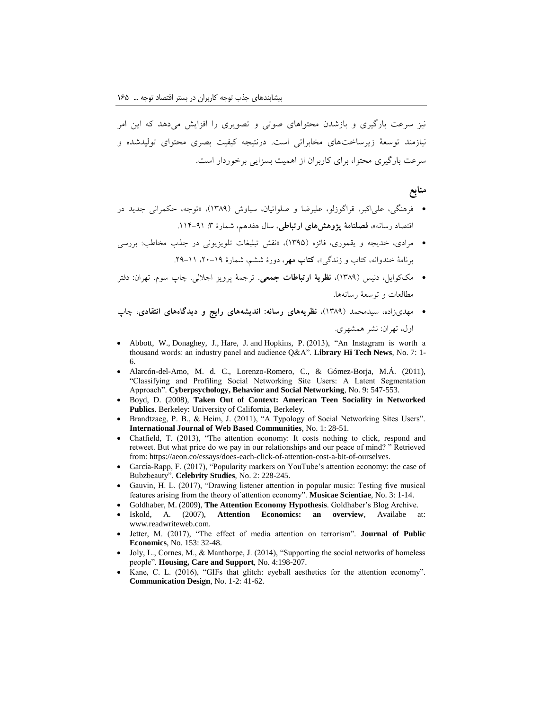نیز سرعت بارگیری و بازشدن محتواهای صوتی و تصویری را افزایش میدهد که این امر نیازمند توسعۀ زیرساختهای مخابراتی است. درنتیجه کیفیت بصری محتوای تولیدشده و سرعت بارگیری محتوا، برای کاربران از اهمیت بسزایی برخوردار است.

#### **منابع**

- فرهنگی، علیاکبر، قراگوزلو، علیرضا و صلواتیان، سیاوش )1389(، »توجه، حکمرانی جدید در اقتصاد رسانه»، فص**لنامۀ پژوهش های ارتباطی**، سال هفدهم، شمارۀ ٣: ٩١-١١۴.
- مرادی، خدیجه و یقموری، فائزه )1395(، »نقش تبلیغات تلویزیونی در جذب مخاطب: بررسی برنامۀ خندوانه، کتاب و زندگی«، **کتاب مهر**، دورۀ ششم، شمارۀ ،20-19 .29-11
- مککوایل، دنیس )1389(، **نظریۀ ارتباطات جمعی**. ترجمۀ پرویز اجاللی. چاپ سوم. تهران: دفتر مطالعات و توسعۀ رسانهها.
- مهدیزاده، سیدمحمد )1389(، **نظریههای رسانه: اندیشههای رایج و دیدگاههای انتقادی**، چاپ اول، تهران: نشر همشهری.
- Abbott, W., Donaghey, J., Hare, J. and Hopkins, P. (2013), "An Instagram is worth a thousand words: an industry panel and audience Q&A". **Library Hi Tech News**, No. 7: 1- 6.
- Alarcón-del-Amo, M. d. C., Lorenzo-Romero, C., & Gómez-Borja, M.Á. (2011), "Classifying and Profiling Social Networking Site Users: A Latent Segmentation Approach". **Cyberpsychology, Behavior and Social Networking**, No. 9: 547-553.
- Boyd, D. (2008), **Taken Out of Context: American Teen Sociality in Networked Publics**. Berkeley: University of California, Berkeley.
- Brandtzaeg, P. B., & Heim, J. (2011), "A Typology of Social Networking Sites Users". **International Journal of Web Based Communities**, No. 1: 28-51.
- Chatfield, T. (2013), "The attention economy: It costs nothing to click, respond and retweet. But what price do we pay in our relationships and our peace of mind? " Retrieved from: https://aeon.co/essays/does-each-click-of-attention-cost-a-bit-of-ourselves.
- García-Rapp, F. (2017), "Popularity markers on YouTube's attention economy: the case of Bubzbeauty". **Celebrity Studies**, No. 2: 228-245.
- Gauvin, H. L. (2017), "Drawing listener attention in popular music: Testing five musical features arising from the theory of attention economy". **Musicae Scientiae**, No. 3: 1-14.
- Goldhaber, M. (2009), **The Attention Economy Hypothesis**. Goldhaber's Blog Archive.
- Iskold, A. (2007), **Attention Economics: an overview**, Availabe at: www.readwriteweb.com.
- Jetter, M. (2017), "The effect of media attention on terrorism". **Journal of Public Economics**, No. 153: 32-48.
- Joly, L., Cornes, M., & Manthorpe, J. (2014), "Supporting the social networks of homeless people". **Housing, Care and Support**, No. 4:198-207.
- Kane, C. L. (2016), "GIFs that glitch: eyeball aesthetics for the attention economy". **Communication Design**, No. 1-2: 41-62.